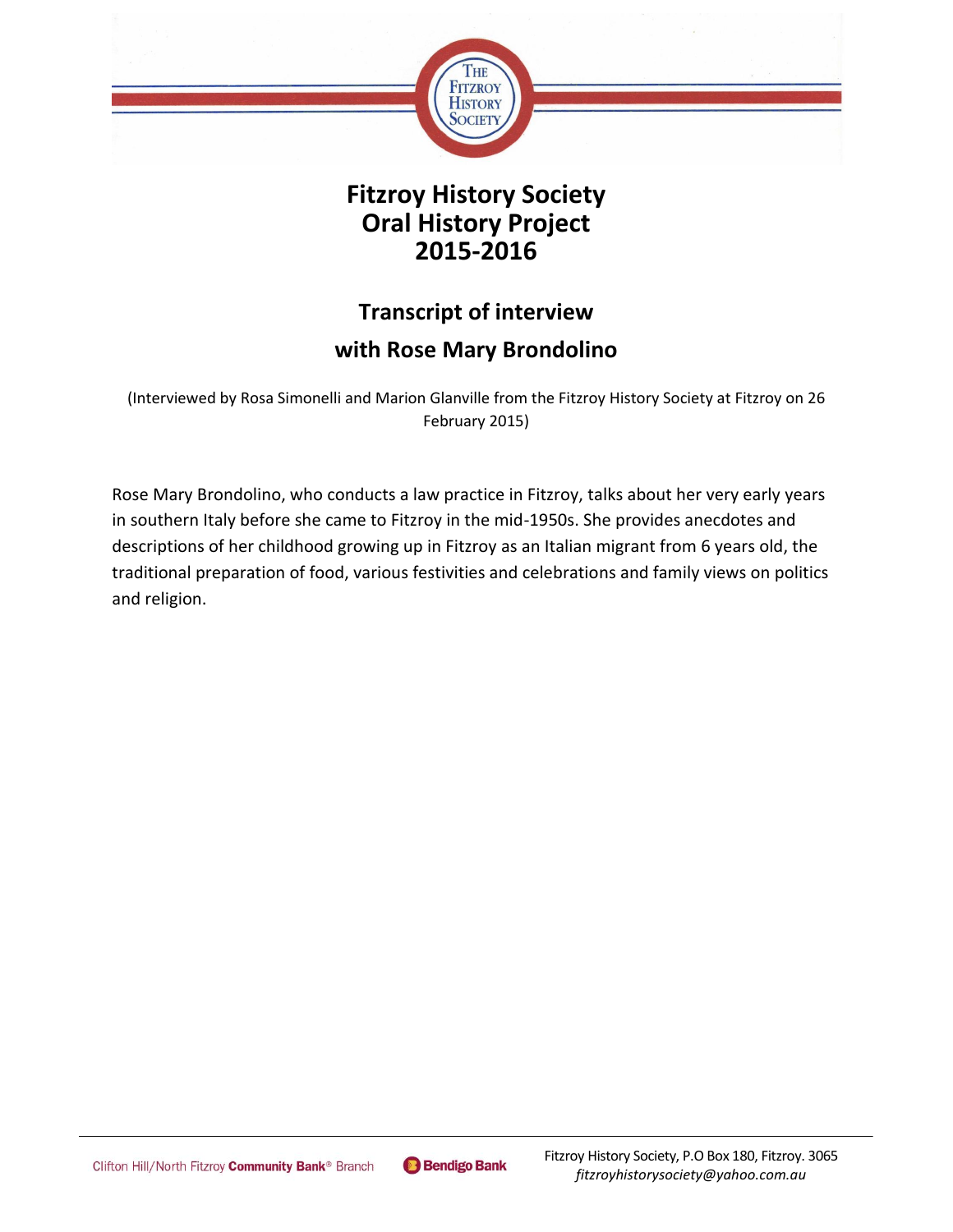

## **Fitzroy History Society Oral History Project 2015-2016**

# **Transcript of interview with Rose Mary Brondolino**

(Interviewed by Rosa Simonelli and Marion Glanville from the Fitzroy History Society at Fitzroy on 26 February 2015)

Rose Mary Brondolino, who conducts a law practice in Fitzroy, talks about her very early years in southern Italy before she came to Fitzroy in the mid-1950s. She provides anecdotes and descriptions of her childhood growing up in Fitzroy as an Italian migrant from 6 years old, the traditional preparation of food, various festivities and celebrations and family views on politics and religion.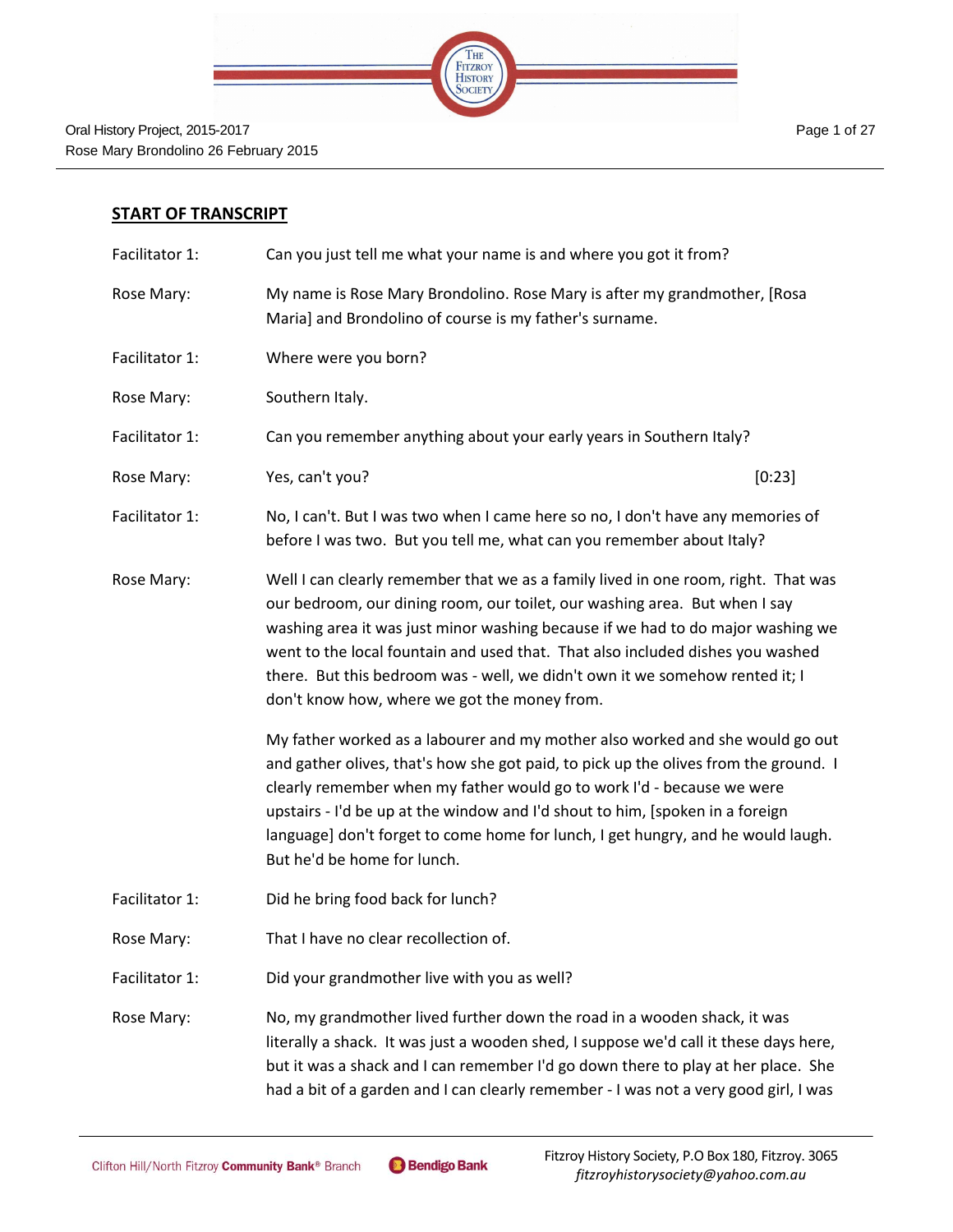

#### **START OF TRANSCRIPT**

| Facilitator 1: | Can you just tell me what your name is and where you got it from?                                                                                                                                                                                                                                                                                                                                                                                                     |        |
|----------------|-----------------------------------------------------------------------------------------------------------------------------------------------------------------------------------------------------------------------------------------------------------------------------------------------------------------------------------------------------------------------------------------------------------------------------------------------------------------------|--------|
| Rose Mary:     | My name is Rose Mary Brondolino. Rose Mary is after my grandmother, [Rosa<br>Maria] and Brondolino of course is my father's surname.                                                                                                                                                                                                                                                                                                                                  |        |
| Facilitator 1: | Where were you born?                                                                                                                                                                                                                                                                                                                                                                                                                                                  |        |
| Rose Mary:     | Southern Italy.                                                                                                                                                                                                                                                                                                                                                                                                                                                       |        |
| Facilitator 1: | Can you remember anything about your early years in Southern Italy?                                                                                                                                                                                                                                                                                                                                                                                                   |        |
| Rose Mary:     | Yes, can't you?                                                                                                                                                                                                                                                                                                                                                                                                                                                       | [0:23] |
| Facilitator 1: | No, I can't. But I was two when I came here so no, I don't have any memories of<br>before I was two. But you tell me, what can you remember about Italy?                                                                                                                                                                                                                                                                                                              |        |
| Rose Mary:     | Well I can clearly remember that we as a family lived in one room, right. That was<br>our bedroom, our dining room, our toilet, our washing area. But when I say<br>washing area it was just minor washing because if we had to do major washing we<br>went to the local fountain and used that. That also included dishes you washed<br>there. But this bedroom was - well, we didn't own it we somehow rented it; I<br>don't know how, where we got the money from. |        |
|                | My father worked as a labourer and my mother also worked and she would go out<br>and gather olives, that's how she got paid, to pick up the olives from the ground. I<br>clearly remember when my father would go to work I'd - because we were<br>upstairs - I'd be up at the window and I'd shout to him, [spoken in a foreign<br>language] don't forget to come home for lunch, I get hungry, and he would laugh.<br>But he'd be home for lunch.                   |        |
| Facilitator 1: | Did he bring food back for lunch?                                                                                                                                                                                                                                                                                                                                                                                                                                     |        |
| Rose Mary:     | That I have no clear recollection of.                                                                                                                                                                                                                                                                                                                                                                                                                                 |        |
| Facilitator 1: | Did your grandmother live with you as well?                                                                                                                                                                                                                                                                                                                                                                                                                           |        |
| Rose Mary:     | No, my grandmother lived further down the road in a wooden shack, it was<br>literally a shack. It was just a wooden shed, I suppose we'd call it these days here,<br>but it was a shack and I can remember I'd go down there to play at her place. She<br>had a bit of a garden and I can clearly remember - I was not a very good girl, I was                                                                                                                        |        |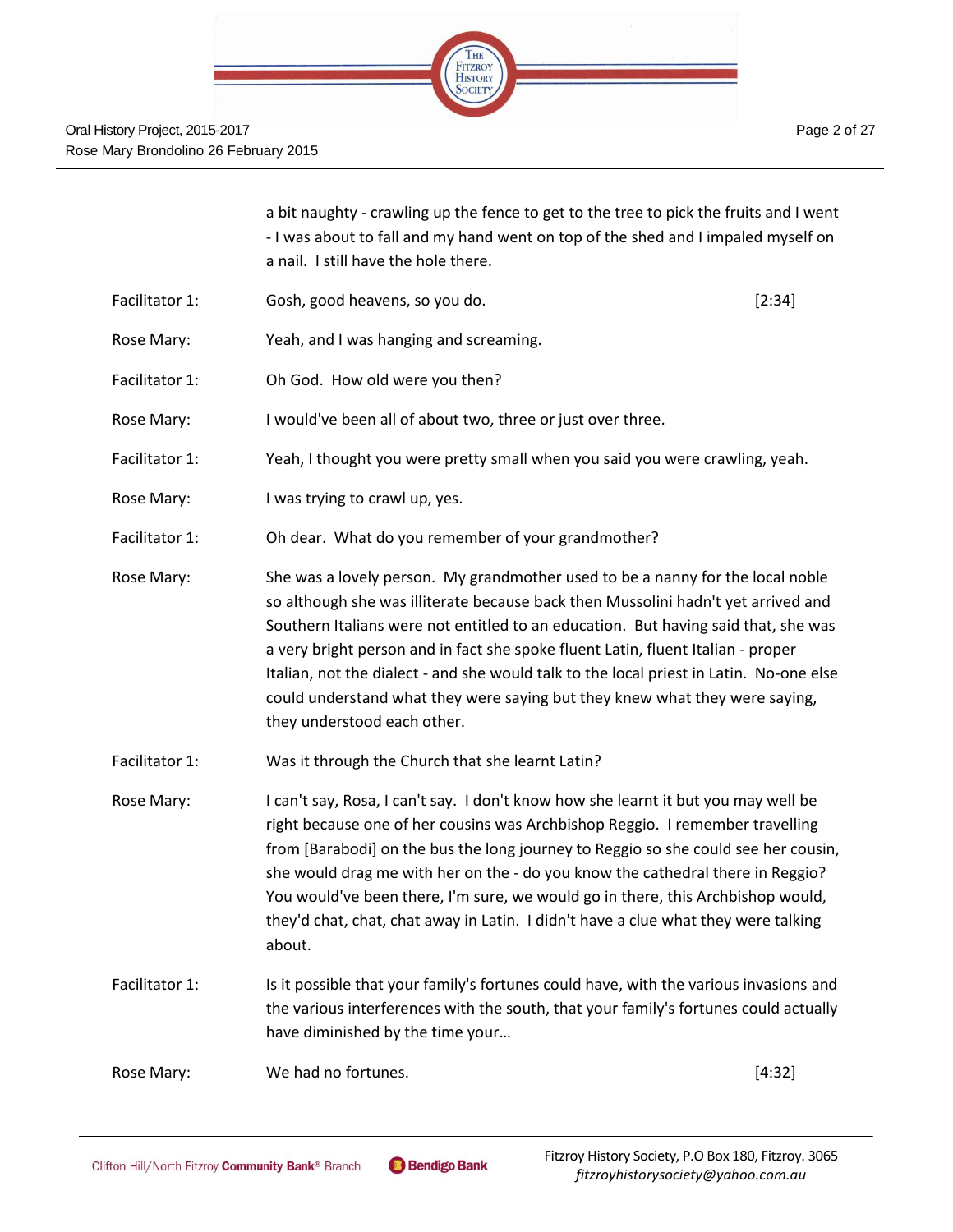

a bit naughty - crawling up the fence to get to the tree to pick the fruits and I went - I was about to fall and my hand went on top of the shed and I impaled myself on a nail. I still have the hole there.

- Facilitator 1: Gosh, good heavens, so you do. [2:34]
- Rose Mary: Yeah, and I was hanging and screaming.
- Facilitator 1: Oh God. How old were you then?
- Rose Mary: I would've been all of about two, three or just over three.
- Facilitator 1: Yeah, I thought you were pretty small when you said you were crawling, yeah.
- Rose Mary: I was trying to crawl up, yes.
- Facilitator 1: Oh dear. What do you remember of your grandmother?
- Rose Mary: She was a lovely person. My grandmother used to be a nanny for the local noble so although she was illiterate because back then Mussolini hadn't yet arrived and Southern Italians were not entitled to an education. But having said that, she was a very bright person and in fact she spoke fluent Latin, fluent Italian - proper Italian, not the dialect - and she would talk to the local priest in Latin. No-one else could understand what they were saying but they knew what they were saying, they understood each other.
- Facilitator 1: Was it through the Church that she learnt Latin?
- Rose Mary: I can't say, Rosa, I can't say. I don't know how she learnt it but you may well be right because one of her cousins was Archbishop Reggio. I remember travelling from [Barabodi] on the bus the long journey to Reggio so she could see her cousin, she would drag me with her on the - do you know the cathedral there in Reggio? You would've been there, I'm sure, we would go in there, this Archbishop would, they'd chat, chat, chat away in Latin. I didn't have a clue what they were talking about.
- Facilitator 1: Is it possible that your family's fortunes could have, with the various invasions and the various interferences with the south, that your family's fortunes could actually have diminished by the time your…

Rose Mary: Now We had no fortunes. The control of the set of the set of the set of the set of the set of the set of the set of the set of the set of the set of the set of the set of the set of the set of the set of the set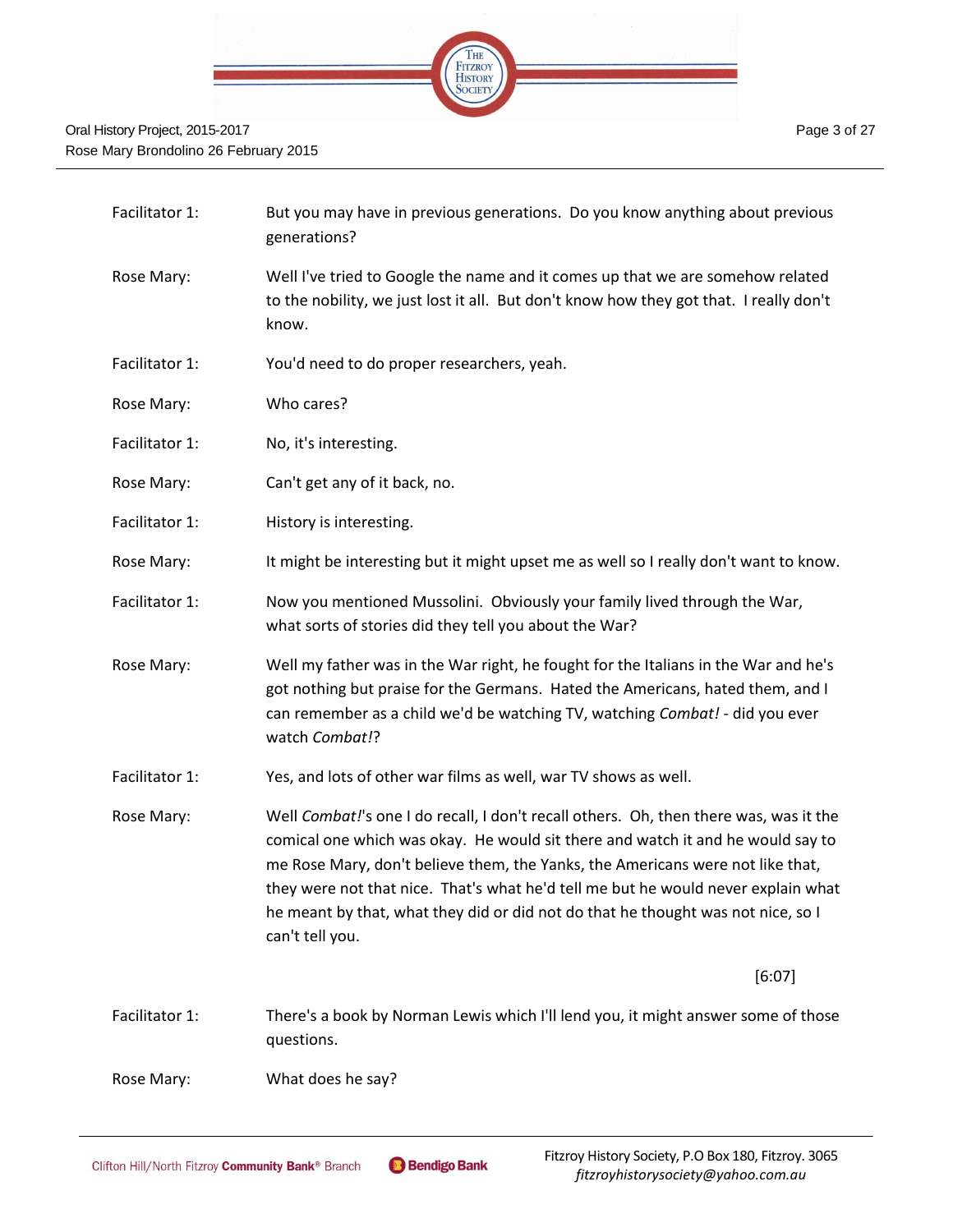

| Facilitator 1: | But you may have in previous generations. Do you know anything about previous<br>generations?                                                                                                                                                                                                                                                                                                                                                          |
|----------------|--------------------------------------------------------------------------------------------------------------------------------------------------------------------------------------------------------------------------------------------------------------------------------------------------------------------------------------------------------------------------------------------------------------------------------------------------------|
| Rose Mary:     | Well I've tried to Google the name and it comes up that we are somehow related<br>to the nobility, we just lost it all. But don't know how they got that. I really don't<br>know.                                                                                                                                                                                                                                                                      |
| Facilitator 1: | You'd need to do proper researchers, yeah.                                                                                                                                                                                                                                                                                                                                                                                                             |
| Rose Mary:     | Who cares?                                                                                                                                                                                                                                                                                                                                                                                                                                             |
| Facilitator 1: | No, it's interesting.                                                                                                                                                                                                                                                                                                                                                                                                                                  |
| Rose Mary:     | Can't get any of it back, no.                                                                                                                                                                                                                                                                                                                                                                                                                          |
| Facilitator 1: | History is interesting.                                                                                                                                                                                                                                                                                                                                                                                                                                |
| Rose Mary:     | It might be interesting but it might upset me as well so I really don't want to know.                                                                                                                                                                                                                                                                                                                                                                  |
| Facilitator 1: | Now you mentioned Mussolini. Obviously your family lived through the War,<br>what sorts of stories did they tell you about the War?                                                                                                                                                                                                                                                                                                                    |
| Rose Mary:     | Well my father was in the War right, he fought for the Italians in the War and he's<br>got nothing but praise for the Germans. Hated the Americans, hated them, and I<br>can remember as a child we'd be watching TV, watching Combat! - did you ever<br>watch Combat!?                                                                                                                                                                                |
| Facilitator 1: | Yes, and lots of other war films as well, war TV shows as well.                                                                                                                                                                                                                                                                                                                                                                                        |
| Rose Mary:     | Well Combat!'s one I do recall, I don't recall others. Oh, then there was, was it the<br>comical one which was okay. He would sit there and watch it and he would say to<br>me Rose Mary, don't believe them, the Yanks, the Americans were not like that,<br>they were not that nice. That's what he'd tell me but he would never explain what<br>he meant by that, what they did or did not do that he thought was not nice, so I<br>can't tell you. |
|                | [6:07]                                                                                                                                                                                                                                                                                                                                                                                                                                                 |
| Facilitator 1: | There's a book by Norman Lewis which I'll lend you, it might answer some of those<br>questions.                                                                                                                                                                                                                                                                                                                                                        |
| Rose Mary:     | What does he say?                                                                                                                                                                                                                                                                                                                                                                                                                                      |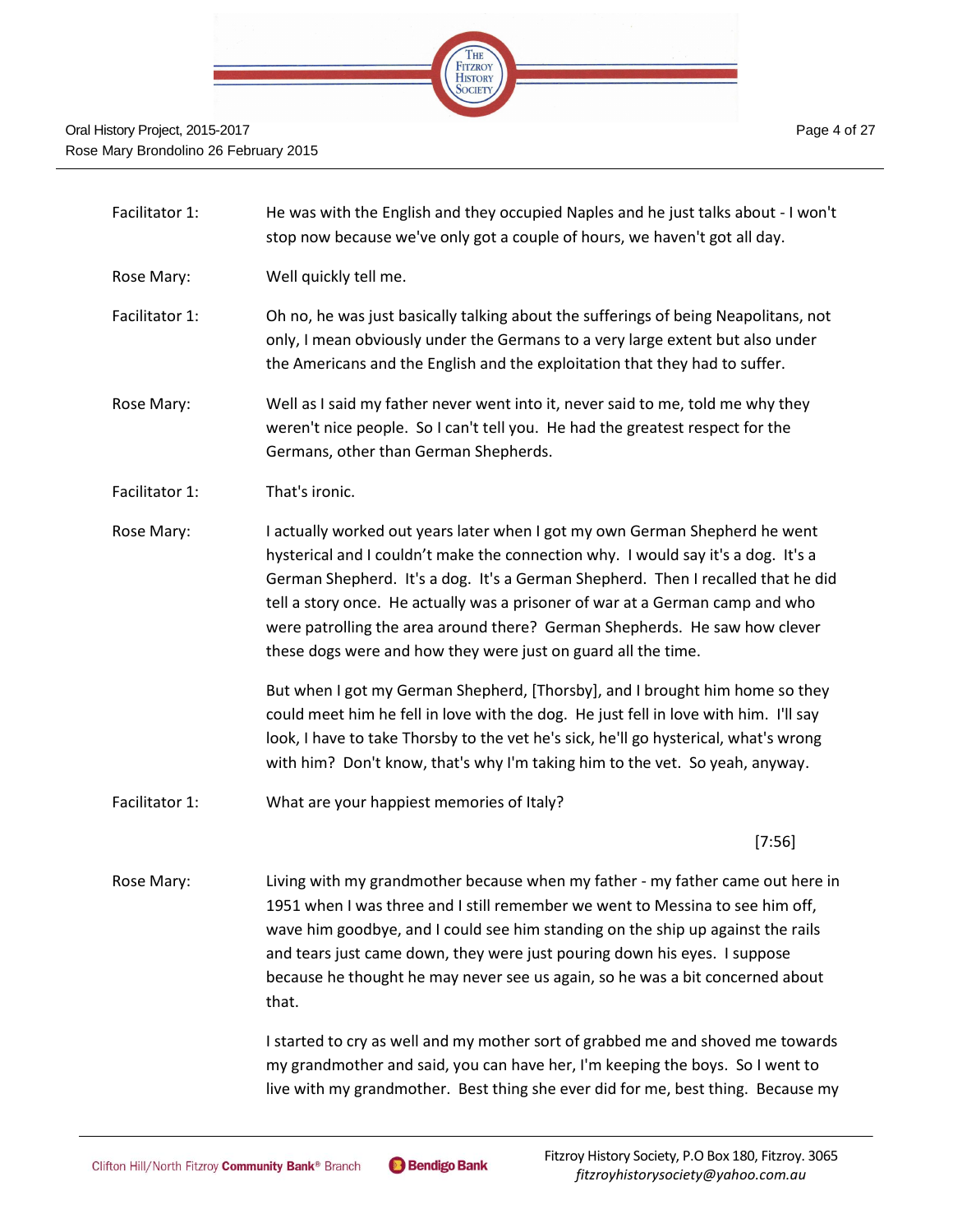

- Facilitator 1: He was with the English and they occupied Naples and he just talks about I won't stop now because we've only got a couple of hours, we haven't got all day.
- Rose Mary: Well quickly tell me.
- Facilitator 1: Oh no, he was just basically talking about the sufferings of being Neapolitans, not only, I mean obviously under the Germans to a very large extent but also under the Americans and the English and the exploitation that they had to suffer.
- Rose Mary: Well as I said my father never went into it, never said to me, told me why they weren't nice people. So I can't tell you. He had the greatest respect for the Germans, other than German Shepherds.
- Facilitator 1: That's ironic.
- Rose Mary: I actually worked out years later when I got my own German Shepherd he went hysterical and I couldn't make the connection why. I would say it's a dog. It's a German Shepherd. It's a dog. It's a German Shepherd. Then I recalled that he did tell a story once. He actually was a prisoner of war at a German camp and who were patrolling the area around there? German Shepherds. He saw how clever these dogs were and how they were just on guard all the time.

But when I got my German Shepherd, [Thorsby], and I brought him home so they could meet him he fell in love with the dog. He just fell in love with him. I'll say look, I have to take Thorsby to the vet he's sick, he'll go hysterical, what's wrong with him? Don't know, that's why I'm taking him to the vet. So yeah, anyway.

Facilitator 1: What are your happiest memories of Italy?

[7:56]

Rose Mary: Living with my grandmother because when my father - my father came out here in 1951 when I was three and I still remember we went to Messina to see him off, wave him goodbye, and I could see him standing on the ship up against the rails and tears just came down, they were just pouring down his eyes. I suppose because he thought he may never see us again, so he was a bit concerned about that.

> I started to cry as well and my mother sort of grabbed me and shoved me towards my grandmother and said, you can have her, I'm keeping the boys. So I went to live with my grandmother. Best thing she ever did for me, best thing. Because my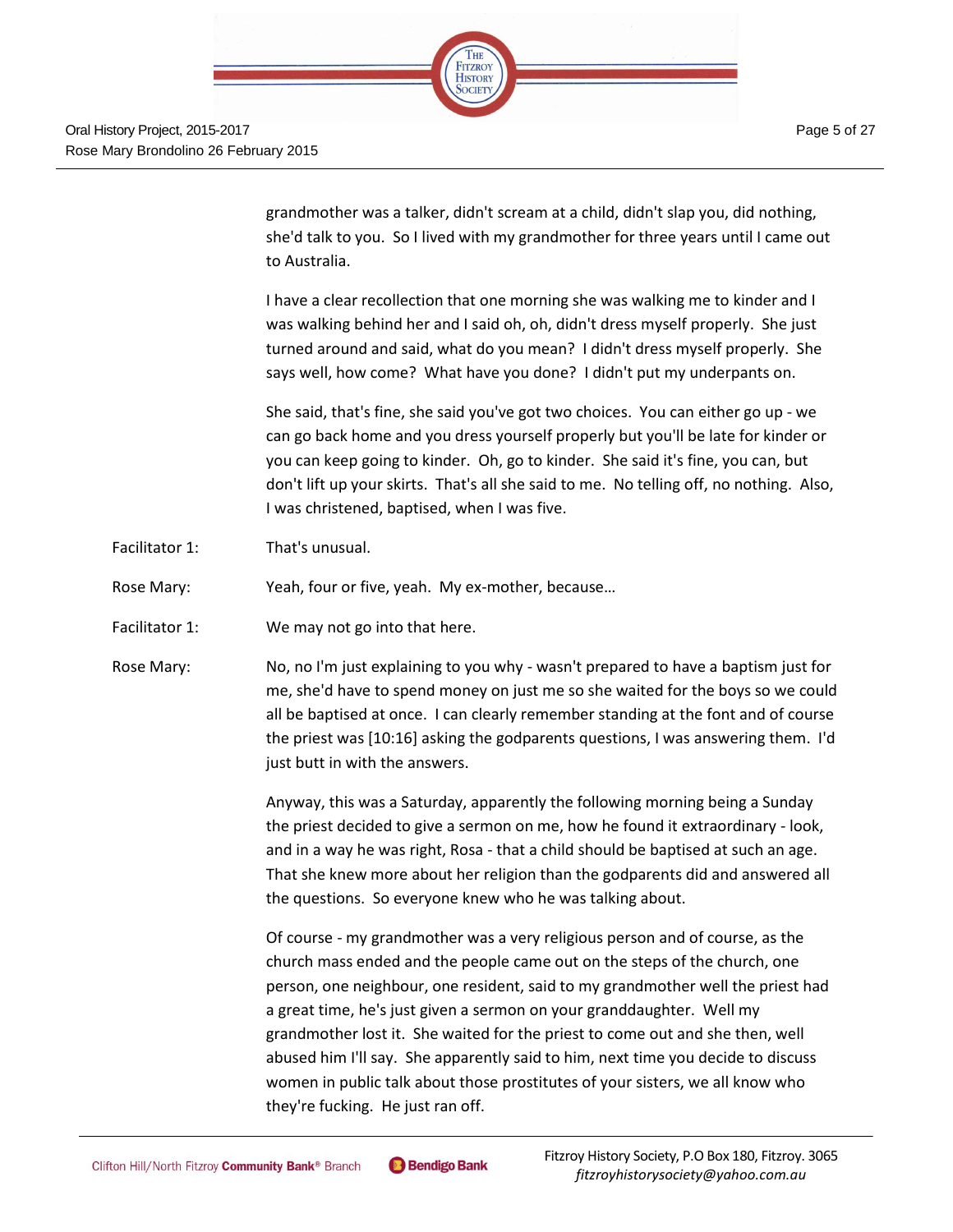

grandmother was a talker, didn't scream at a child, didn't slap you, did nothing, she'd talk to you. So I lived with my grandmother for three years until I came out to Australia.

I have a clear recollection that one morning she was walking me to kinder and I was walking behind her and I said oh, oh, didn't dress myself properly. She just turned around and said, what do you mean? I didn't dress myself properly. She says well, how come? What have you done? I didn't put my underpants on.

She said, that's fine, she said you've got two choices. You can either go up - we can go back home and you dress yourself properly but you'll be late for kinder or you can keep going to kinder. Oh, go to kinder. She said it's fine, you can, but don't lift up your skirts. That's all she said to me. No telling off, no nothing. Also, I was christened, baptised, when I was five.

Facilitator 1: That's unusual.

Rose Mary: Yeah, four or five, yeah. My ex-mother, because…

- Facilitator 1: We may not go into that here.
- Rose Mary: No, no I'm just explaining to you why wasn't prepared to have a baptism just for me, she'd have to spend money on just me so she waited for the boys so we could all be baptised at once. I can clearly remember standing at the font and of course the priest was [10:16] asking the godparents questions, I was answering them. I'd just butt in with the answers.

Anyway, this was a Saturday, apparently the following morning being a Sunday the priest decided to give a sermon on me, how he found it extraordinary - look, and in a way he was right, Rosa - that a child should be baptised at such an age. That she knew more about her religion than the godparents did and answered all the questions. So everyone knew who he was talking about.

Of course - my grandmother was a very religious person and of course, as the church mass ended and the people came out on the steps of the church, one person, one neighbour, one resident, said to my grandmother well the priest had a great time, he's just given a sermon on your granddaughter. Well my grandmother lost it. She waited for the priest to come out and she then, well abused him I'll say. She apparently said to him, next time you decide to discuss women in public talk about those prostitutes of your sisters, we all know who they're fucking. He just ran off.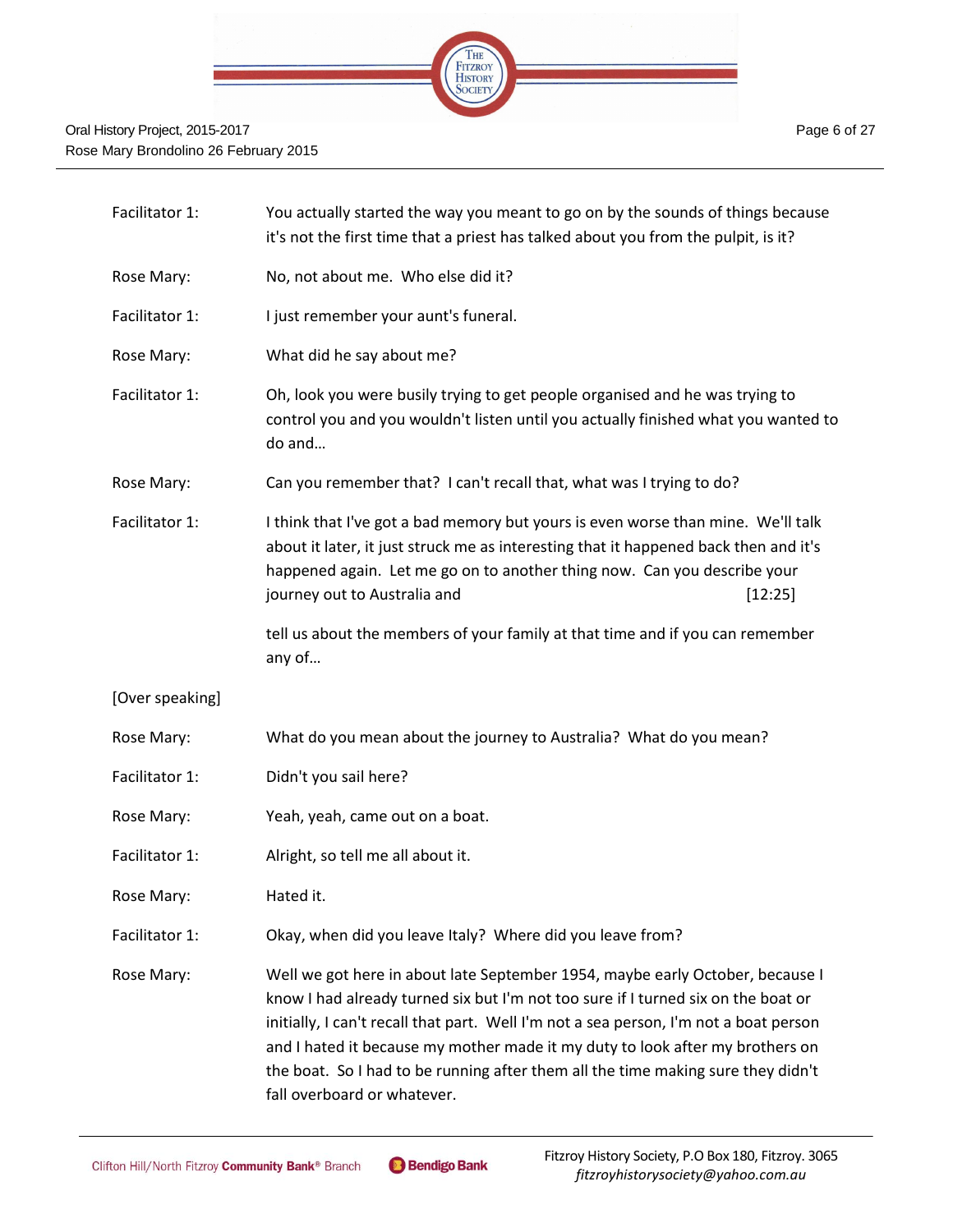

| Facilitator 1:  | You actually started the way you meant to go on by the sounds of things because<br>it's not the first time that a priest has talked about you from the pulpit, is it?                                                                                                                                                                                                                                                                                           |         |
|-----------------|-----------------------------------------------------------------------------------------------------------------------------------------------------------------------------------------------------------------------------------------------------------------------------------------------------------------------------------------------------------------------------------------------------------------------------------------------------------------|---------|
| Rose Mary:      | No, not about me. Who else did it?                                                                                                                                                                                                                                                                                                                                                                                                                              |         |
| Facilitator 1:  | I just remember your aunt's funeral.                                                                                                                                                                                                                                                                                                                                                                                                                            |         |
| Rose Mary:      | What did he say about me?                                                                                                                                                                                                                                                                                                                                                                                                                                       |         |
| Facilitator 1:  | Oh, look you were busily trying to get people organised and he was trying to<br>control you and you wouldn't listen until you actually finished what you wanted to<br>do and                                                                                                                                                                                                                                                                                    |         |
| Rose Mary:      | Can you remember that? I can't recall that, what was I trying to do?                                                                                                                                                                                                                                                                                                                                                                                            |         |
| Facilitator 1:  | I think that I've got a bad memory but yours is even worse than mine. We'll talk<br>about it later, it just struck me as interesting that it happened back then and it's<br>happened again. Let me go on to another thing now. Can you describe your<br>journey out to Australia and                                                                                                                                                                            | [12:25] |
|                 | tell us about the members of your family at that time and if you can remember<br>any of                                                                                                                                                                                                                                                                                                                                                                         |         |
| [Over speaking] |                                                                                                                                                                                                                                                                                                                                                                                                                                                                 |         |
| Rose Mary:      | What do you mean about the journey to Australia? What do you mean?                                                                                                                                                                                                                                                                                                                                                                                              |         |
| Facilitator 1:  | Didn't you sail here?                                                                                                                                                                                                                                                                                                                                                                                                                                           |         |
| Rose Mary:      | Yeah, yeah, came out on a boat.                                                                                                                                                                                                                                                                                                                                                                                                                                 |         |
| Facilitator 1:  | Alright, so tell me all about it.                                                                                                                                                                                                                                                                                                                                                                                                                               |         |
| Rose Mary:      | Hated it.                                                                                                                                                                                                                                                                                                                                                                                                                                                       |         |
| Facilitator 1:  | Okay, when did you leave Italy? Where did you leave from?                                                                                                                                                                                                                                                                                                                                                                                                       |         |
| Rose Mary:      | Well we got here in about late September 1954, maybe early October, because I<br>know I had already turned six but I'm not too sure if I turned six on the boat or<br>initially, I can't recall that part. Well I'm not a sea person, I'm not a boat person<br>and I hated it because my mother made it my duty to look after my brothers on<br>the boat. So I had to be running after them all the time making sure they didn't<br>fall overboard or whatever. |         |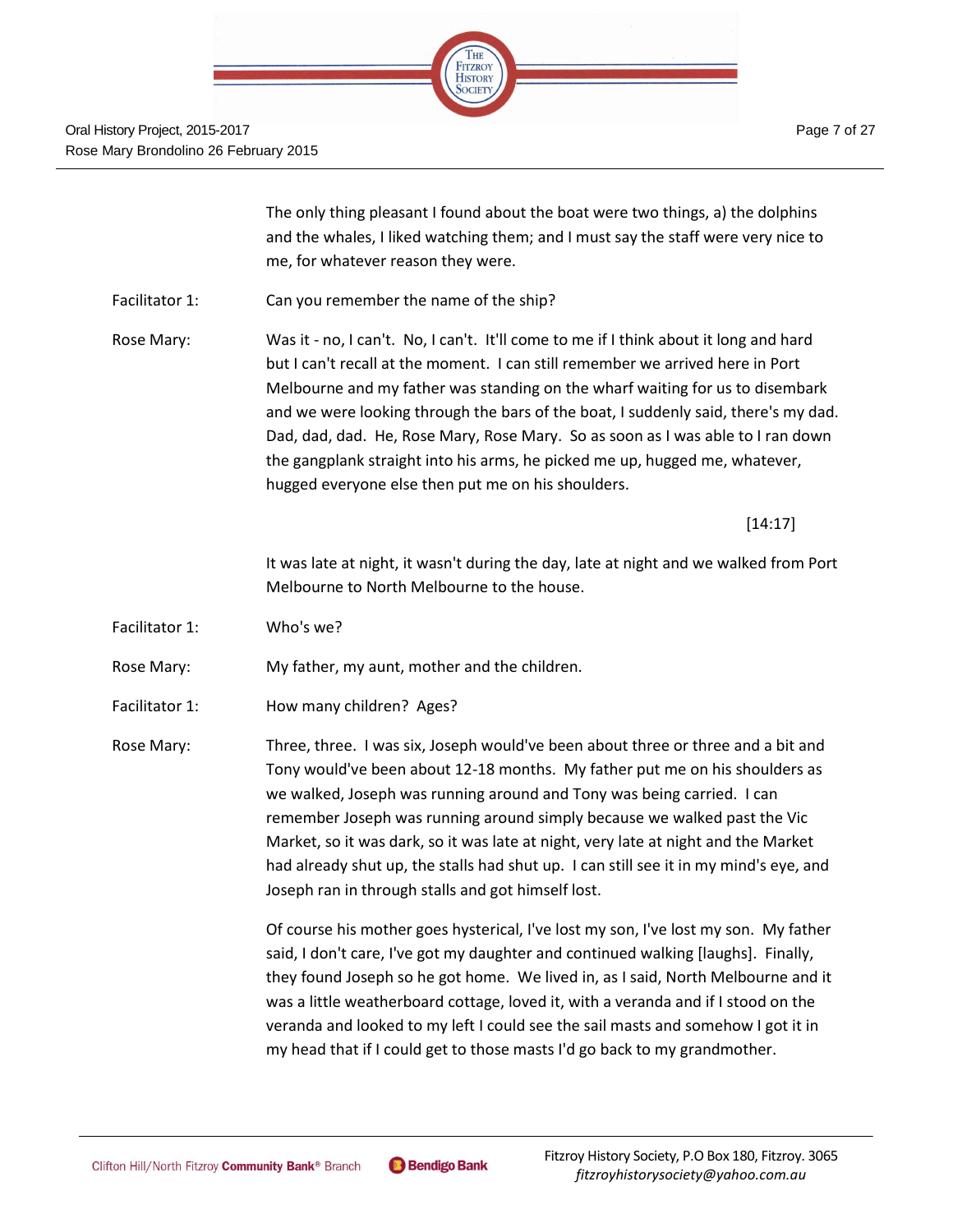

The only thing pleasant I found about the boat were two things, a) the dolphins and the whales, I liked watching them; and I must say the staff were very nice to me, for whatever reason they were.

Facilitator 1: Can you remember the name of the ship?

Rose Mary: Was it - no, I can't. No, I can't. It'll come to me if I think about it long and hard but I can't recall at the moment. I can still remember we arrived here in Port Melbourne and my father was standing on the wharf waiting for us to disembark and we were looking through the bars of the boat, I suddenly said, there's my dad. Dad, dad, dad. He, Rose Mary, Rose Mary. So as soon as I was able to I ran down the gangplank straight into his arms, he picked me up, hugged me, whatever, hugged everyone else then put me on his shoulders.

[14:17]

It was late at night, it wasn't during the day, late at night and we walked from Port Melbourne to North Melbourne to the house.

Facilitator 1: Who's we?

Rose Mary: My father, my aunt, mother and the children.

Facilitator 1: How many children? Ages?

Rose Mary: Three, three. I was six, Joseph would've been about three or three and a bit and Tony would've been about 12-18 months. My father put me on his shoulders as we walked, Joseph was running around and Tony was being carried. I can remember Joseph was running around simply because we walked past the Vic Market, so it was dark, so it was late at night, very late at night and the Market had already shut up, the stalls had shut up. I can still see it in my mind's eye, and Joseph ran in through stalls and got himself lost.

> Of course his mother goes hysterical, I've lost my son, I've lost my son. My father said, I don't care, I've got my daughter and continued walking [laughs]. Finally, they found Joseph so he got home. We lived in, as I said, North Melbourne and it was a little weatherboard cottage, loved it, with a veranda and if I stood on the veranda and looked to my left I could see the sail masts and somehow I got it in my head that if I could get to those masts I'd go back to my grandmother.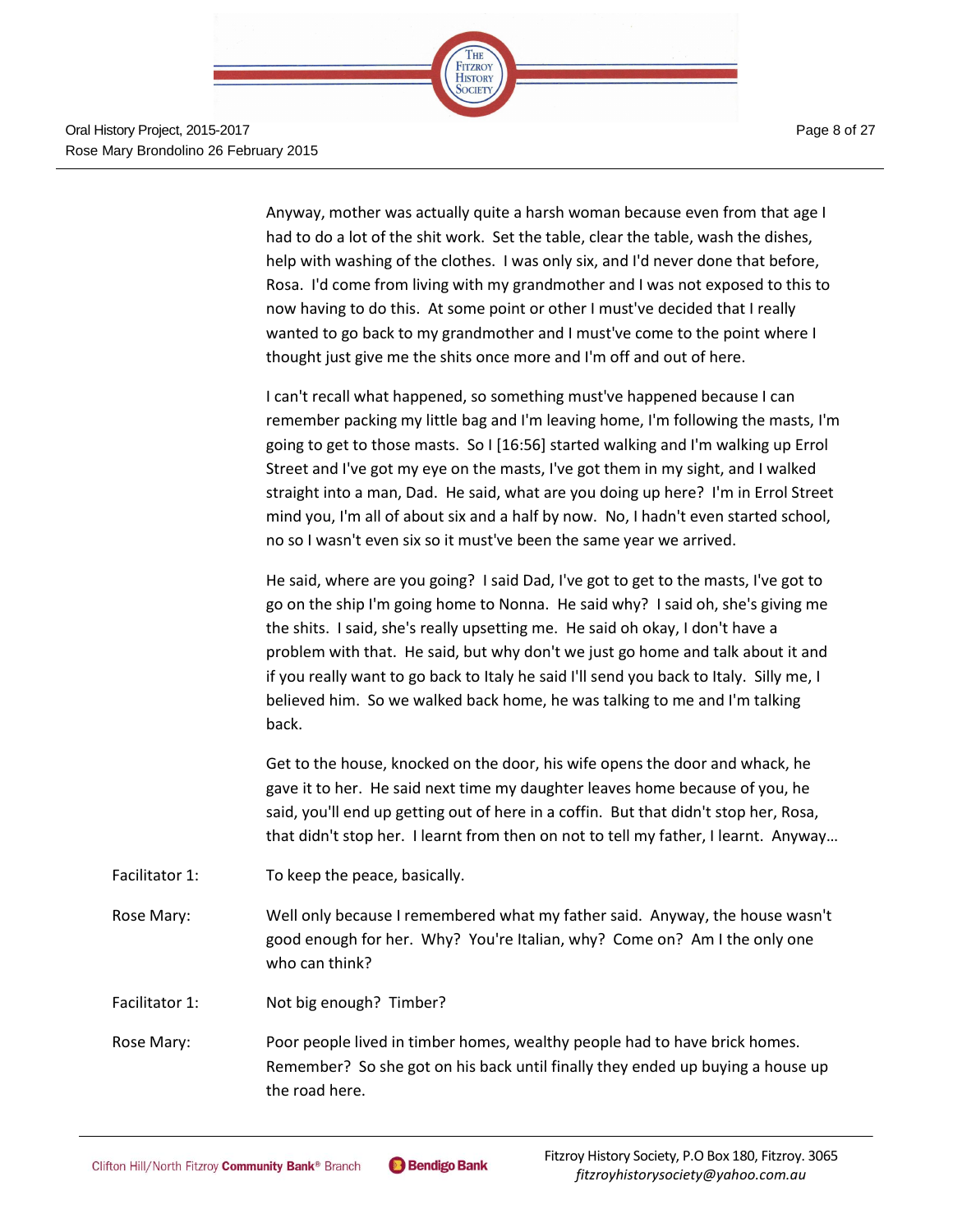

Anyway, mother was actually quite a harsh woman because even from that age I had to do a lot of the shit work. Set the table, clear the table, wash the dishes, help with washing of the clothes. I was only six, and I'd never done that before, Rosa. I'd come from living with my grandmother and I was not exposed to this to now having to do this. At some point or other I must've decided that I really wanted to go back to my grandmother and I must've come to the point where I thought just give me the shits once more and I'm off and out of here.

I can't recall what happened, so something must've happened because I can remember packing my little bag and I'm leaving home, I'm following the masts, I'm going to get to those masts. So I [16:56] started walking and I'm walking up Errol Street and I've got my eye on the masts, I've got them in my sight, and I walked straight into a man, Dad. He said, what are you doing up here? I'm in Errol Street mind you, I'm all of about six and a half by now. No, I hadn't even started school, no so I wasn't even six so it must've been the same year we arrived.

He said, where are you going? I said Dad, I've got to get to the masts, I've got to go on the ship I'm going home to Nonna. He said why? I said oh, she's giving me the shits. I said, she's really upsetting me. He said oh okay, I don't have a problem with that. He said, but why don't we just go home and talk about it and if you really want to go back to Italy he said I'll send you back to Italy. Silly me, I believed him. So we walked back home, he was talking to me and I'm talking back.

Get to the house, knocked on the door, his wife opens the door and whack, he gave it to her. He said next time my daughter leaves home because of you, he said, you'll end up getting out of here in a coffin. But that didn't stop her, Rosa, that didn't stop her. I learnt from then on not to tell my father, I learnt. Anyway…

- Facilitator 1: To keep the peace, basically.
- Rose Mary: Well only because I remembered what my father said. Anyway, the house wasn't good enough for her. Why? You're Italian, why? Come on? Am I the only one who can think?
- Facilitator 1: Not big enough? Timber?

Rose Mary: Poor people lived in timber homes, wealthy people had to have brick homes. Remember? So she got on his back until finally they ended up buying a house up the road here.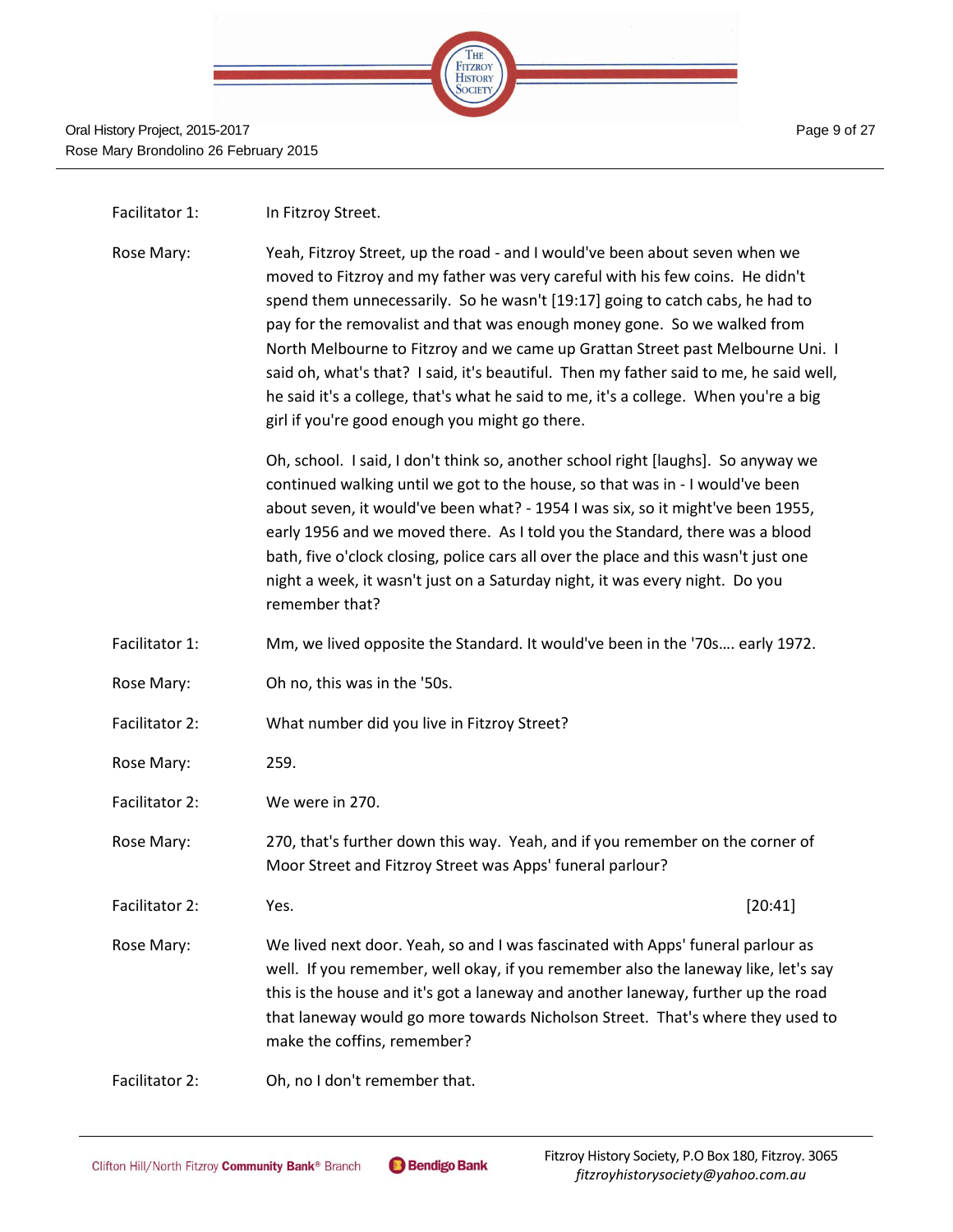

- Facilitator 1: In Fitzrov Street.
- Rose Mary: Yeah, Fitzroy Street, up the road and I would've been about seven when we moved to Fitzroy and my father was very careful with his few coins. He didn't spend them unnecessarily. So he wasn't [19:17] going to catch cabs, he had to pay for the removalist and that was enough money gone. So we walked from North Melbourne to Fitzroy and we came up Grattan Street past Melbourne Uni. I said oh, what's that? I said, it's beautiful. Then my father said to me, he said well, he said it's a college, that's what he said to me, it's a college. When you're a big girl if you're good enough you might go there.

Oh, school. I said, I don't think so, another school right [laughs]. So anyway we continued walking until we got to the house, so that was in - I would've been about seven, it would've been what? - 1954 I was six, so it might've been 1955, early 1956 and we moved there. As I told you the Standard, there was a blood bath, five o'clock closing, police cars all over the place and this wasn't just one night a week, it wasn't just on a Saturday night, it was every night. Do you remember that?

- Facilitator 1: Mm, we lived opposite the Standard. It would've been in the '70s…. early 1972.
- Rose Mary: Oh no, this was in the '50s.
- Facilitator 2: What number did you live in Fitzroy Street?
- Rose Mary: 259.
- Facilitator 2: We were in 270.
- Rose Mary: 270, that's further down this way. Yeah, and if you remember on the corner of Moor Street and Fitzroy Street was Apps' funeral parlour?
- Facilitator 2: San Mes. 20:41]
- 
- Rose Mary: We lived next door. Yeah, so and I was fascinated with Apps' funeral parlour as well. If you remember, well okay, if you remember also the laneway like, let's say this is the house and it's got a laneway and another laneway, further up the road that laneway would go more towards Nicholson Street. That's where they used to make the coffins, remember?
- Facilitator 2: Oh, no I don't remember that.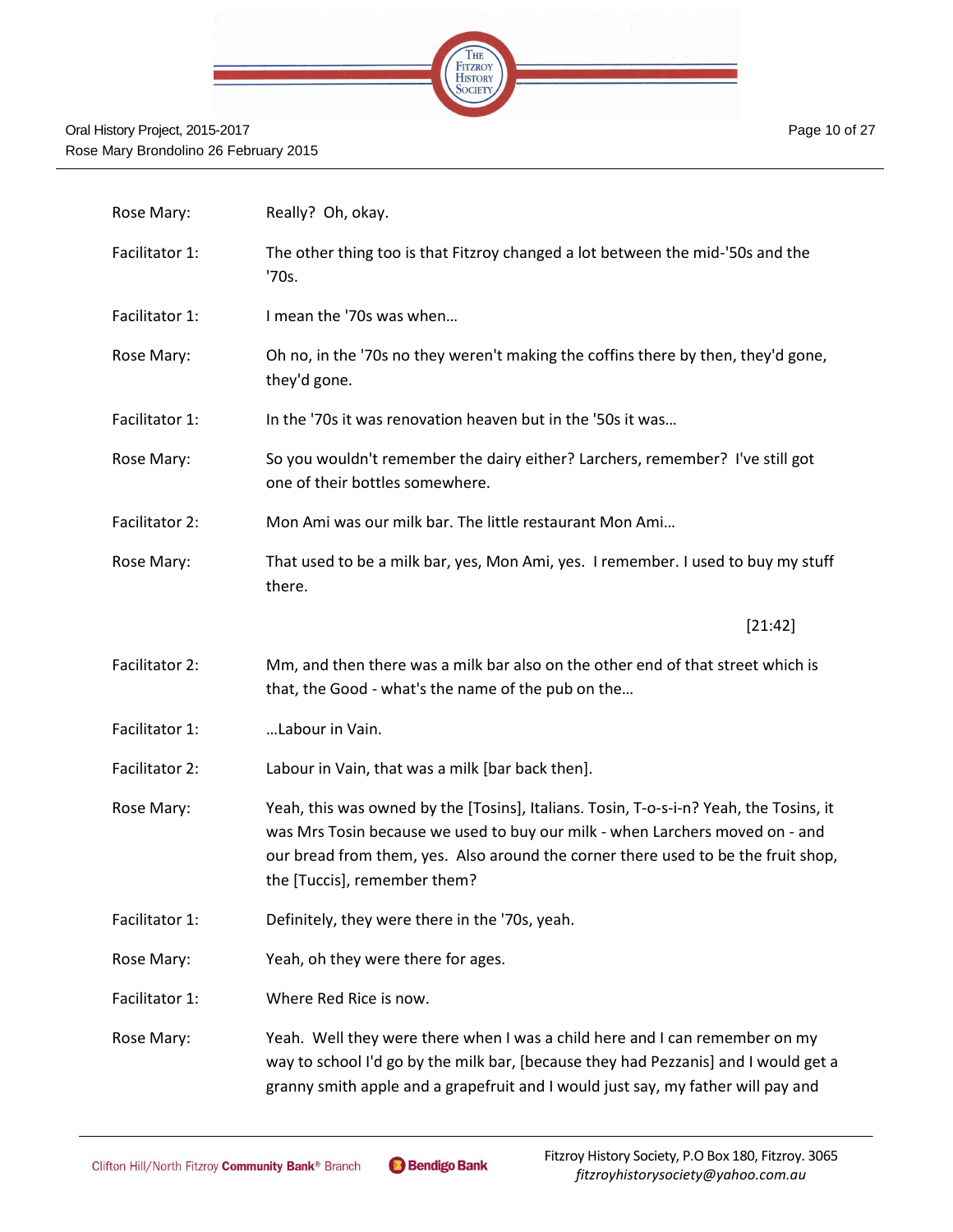

| Rose Mary:     | Really? Oh, okay.                                                                                                                                                                                                                                                                           |
|----------------|---------------------------------------------------------------------------------------------------------------------------------------------------------------------------------------------------------------------------------------------------------------------------------------------|
| Facilitator 1: | The other thing too is that Fitzroy changed a lot between the mid-'50s and the<br>'70s.                                                                                                                                                                                                     |
| Facilitator 1: | I mean the '70s was when                                                                                                                                                                                                                                                                    |
| Rose Mary:     | Oh no, in the '70s no they weren't making the coffins there by then, they'd gone,<br>they'd gone.                                                                                                                                                                                           |
| Facilitator 1: | In the '70s it was renovation heaven but in the '50s it was                                                                                                                                                                                                                                 |
| Rose Mary:     | So you wouldn't remember the dairy either? Larchers, remember? I've still got<br>one of their bottles somewhere.                                                                                                                                                                            |
| Facilitator 2: | Mon Ami was our milk bar. The little restaurant Mon Ami                                                                                                                                                                                                                                     |
| Rose Mary:     | That used to be a milk bar, yes, Mon Ami, yes. I remember. I used to buy my stuff<br>there.                                                                                                                                                                                                 |
|                | [21:42]                                                                                                                                                                                                                                                                                     |
| Facilitator 2: | Mm, and then there was a milk bar also on the other end of that street which is<br>that, the Good - what's the name of the pub on the                                                                                                                                                       |
| Facilitator 1: | Labour in Vain.                                                                                                                                                                                                                                                                             |
| Facilitator 2: | Labour in Vain, that was a milk [bar back then].                                                                                                                                                                                                                                            |
| Rose Mary:     | Yeah, this was owned by the [Tosins], Italians. Tosin, T-o-s-i-n? Yeah, the Tosins, it<br>was Mrs Tosin because we used to buy our milk - when Larchers moved on - and<br>our bread from them, yes. Also around the corner there used to be the fruit shop,<br>the [Tuccis], remember them? |
| Facilitator 1: | Definitely, they were there in the '70s, yeah.                                                                                                                                                                                                                                              |
| Rose Mary:     | Yeah, oh they were there for ages.                                                                                                                                                                                                                                                          |
| Facilitator 1: | Where Red Rice is now.                                                                                                                                                                                                                                                                      |
| Rose Mary:     | Yeah. Well they were there when I was a child here and I can remember on my<br>way to school I'd go by the milk bar, [because they had Pezzanis] and I would get a<br>granny smith apple and a grapefruit and I would just say, my father will pay and                                      |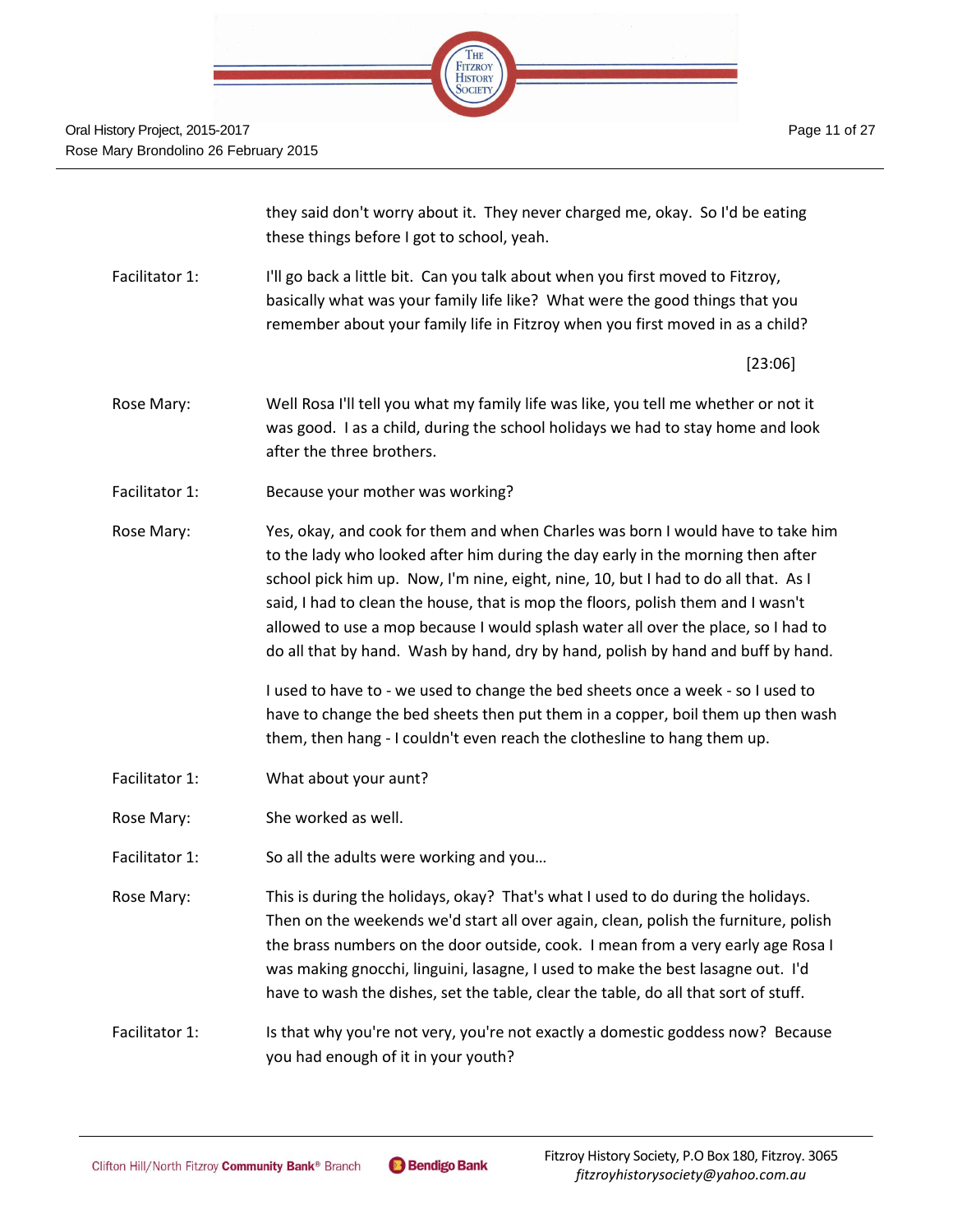|  | THE<br>FITZROY<br>HISTORY |  |
|--|---------------------------|--|
|  |                           |  |
|  |                           |  |

they said don't worry about it. They never charged me, okay. So I'd be eating these things before I got to school, yeah.

Facilitator 1: I'll go back a little bit. Can you talk about when you first moved to Fitzroy, basically what was your family life like? What were the good things that you remember about your family life in Fitzroy when you first moved in as a child?

[23:06]

- Rose Mary: Well Rosa I'll tell you what my family life was like, you tell me whether or not it was good. I as a child, during the school holidays we had to stay home and look after the three brothers.
- Facilitator 1: Because your mother was working?
- Rose Mary: Yes, okay, and cook for them and when Charles was born I would have to take him to the lady who looked after him during the day early in the morning then after school pick him up. Now, I'm nine, eight, nine, 10, but I had to do all that. As I said, I had to clean the house, that is mop the floors, polish them and I wasn't allowed to use a mop because I would splash water all over the place, so I had to do all that by hand. Wash by hand, dry by hand, polish by hand and buff by hand.

I used to have to - we used to change the bed sheets once a week - so I used to have to change the bed sheets then put them in a copper, boil them up then wash them, then hang - I couldn't even reach the clothesline to hang them up.

- Facilitator 1: What about your aunt?
- Rose Mary: She worked as well.
- Facilitator 1: So all the adults were working and you...
- Rose Mary: This is during the holidays, okay? That's what I used to do during the holidays. Then on the weekends we'd start all over again, clean, polish the furniture, polish the brass numbers on the door outside, cook. I mean from a very early age Rosa I was making gnocchi, linguini, lasagne, I used to make the best lasagne out. I'd have to wash the dishes, set the table, clear the table, do all that sort of stuff.
- Facilitator 1: Is that why you're not very, you're not exactly a domestic goddess now? Because you had enough of it in your youth?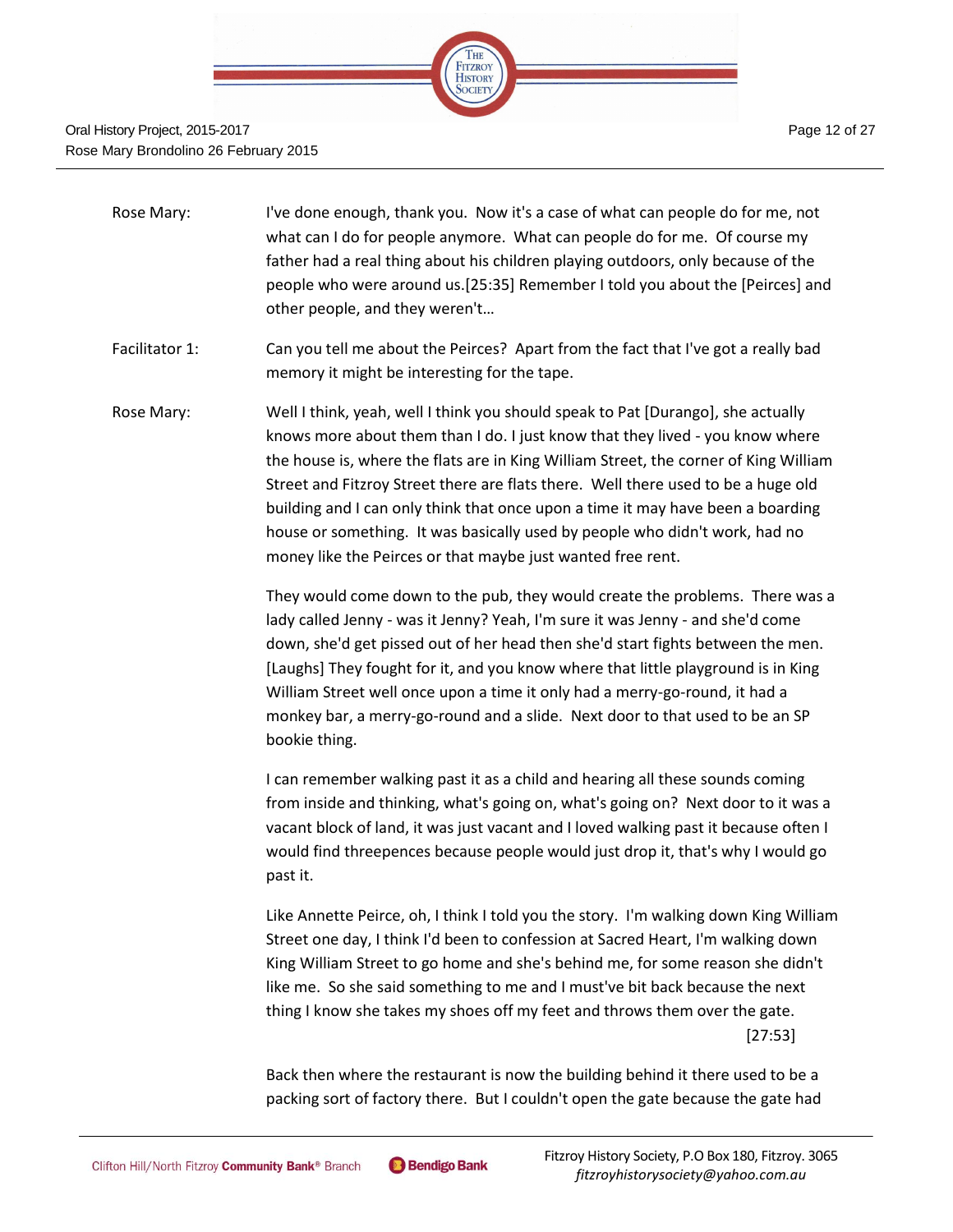

- Rose Mary: I've done enough, thank you. Now it's a case of what can people do for me, not what can I do for people anymore. What can people do for me. Of course my father had a real thing about his children playing outdoors, only because of the people who were around us.[25:35] Remember I told you about the [Peirces] and other people, and they weren't…
- Facilitator 1: Can you tell me about the Peirces? Apart from the fact that I've got a really bad memory it might be interesting for the tape.
- Rose Mary: Well I think, yeah, well I think you should speak to Pat [Durango], she actually knows more about them than I do. I just know that they lived - you know where the house is, where the flats are in King William Street, the corner of King William Street and Fitzroy Street there are flats there. Well there used to be a huge old building and I can only think that once upon a time it may have been a boarding house or something. It was basically used by people who didn't work, had no money like the Peirces or that maybe just wanted free rent.

They would come down to the pub, they would create the problems. There was a lady called Jenny - was it Jenny? Yeah, I'm sure it was Jenny - and she'd come down, she'd get pissed out of her head then she'd start fights between the men. [Laughs] They fought for it, and you know where that little playground is in King William Street well once upon a time it only had a merry-go-round, it had a monkey bar, a merry-go-round and a slide. Next door to that used to be an SP bookie thing.

I can remember walking past it as a child and hearing all these sounds coming from inside and thinking, what's going on, what's going on? Next door to it was a vacant block of land, it was just vacant and I loved walking past it because often I would find threepences because people would just drop it, that's why I would go past it.

Like Annette Peirce, oh, I think I told you the story. I'm walking down King William Street one day, I think I'd been to confession at Sacred Heart, I'm walking down King William Street to go home and she's behind me, for some reason she didn't like me. So she said something to me and I must've bit back because the next thing I know she takes my shoes off my feet and throws them over the gate. [27:53]

Back then where the restaurant is now the building behind it there used to be a packing sort of factory there. But I couldn't open the gate because the gate had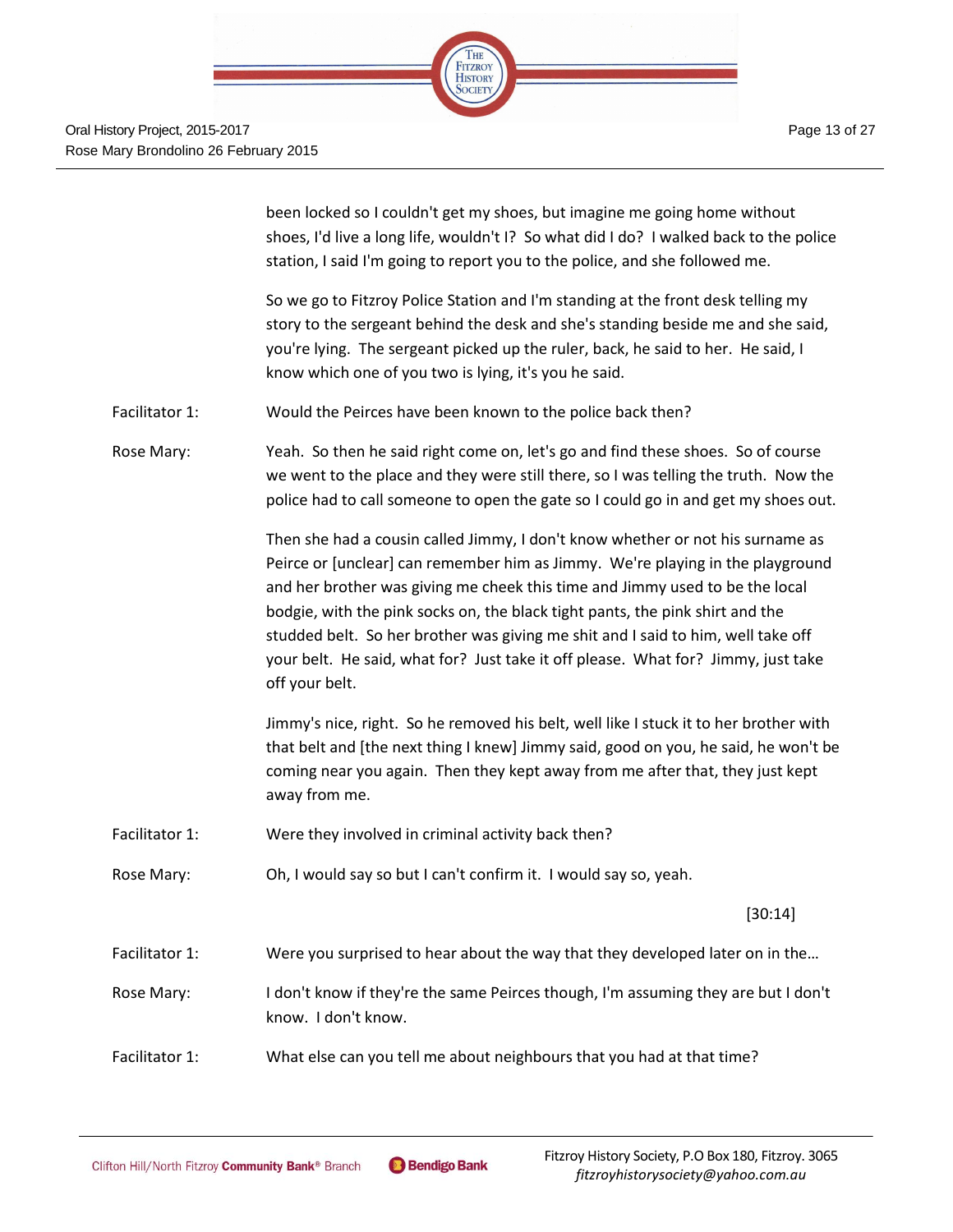

been locked so I couldn't get my shoes, but imagine me going home without shoes, I'd live a long life, wouldn't I? So what did I do? I walked back to the police station, I said I'm going to report you to the police, and she followed me.

So we go to Fitzroy Police Station and I'm standing at the front desk telling my story to the sergeant behind the desk and she's standing beside me and she said, you're lying. The sergeant picked up the ruler, back, he said to her. He said, I know which one of you two is lying, it's you he said.

Facilitator 1: Would the Peirces have been known to the police back then?

Rose Mary: Yeah. So then he said right come on, let's go and find these shoes. So of course we went to the place and they were still there, so I was telling the truth. Now the police had to call someone to open the gate so I could go in and get my shoes out.

> Then she had a cousin called Jimmy, I don't know whether or not his surname as Peirce or [unclear] can remember him as Jimmy. We're playing in the playground and her brother was giving me cheek this time and Jimmy used to be the local bodgie, with the pink socks on, the black tight pants, the pink shirt and the studded belt. So her brother was giving me shit and I said to him, well take off your belt. He said, what for? Just take it off please. What for? Jimmy, just take off your belt.

Jimmy's nice, right. So he removed his belt, well like I stuck it to her brother with that belt and [the next thing I knew] Jimmy said, good on you, he said, he won't be coming near you again. Then they kept away from me after that, they just kept away from me.

- Facilitator 1: Were they involved in criminal activity back then?
- Rose Mary: Oh, I would say so but I can't confirm it. I would say so, yeah.

[30:14]

- Facilitator 1: Were you surprised to hear about the way that they developed later on in the...
- Rose Mary: I don't know if they're the same Peirces though, I'm assuming they are but I don't know. I don't know.
- Facilitator 1: What else can you tell me about neighbours that you had at that time?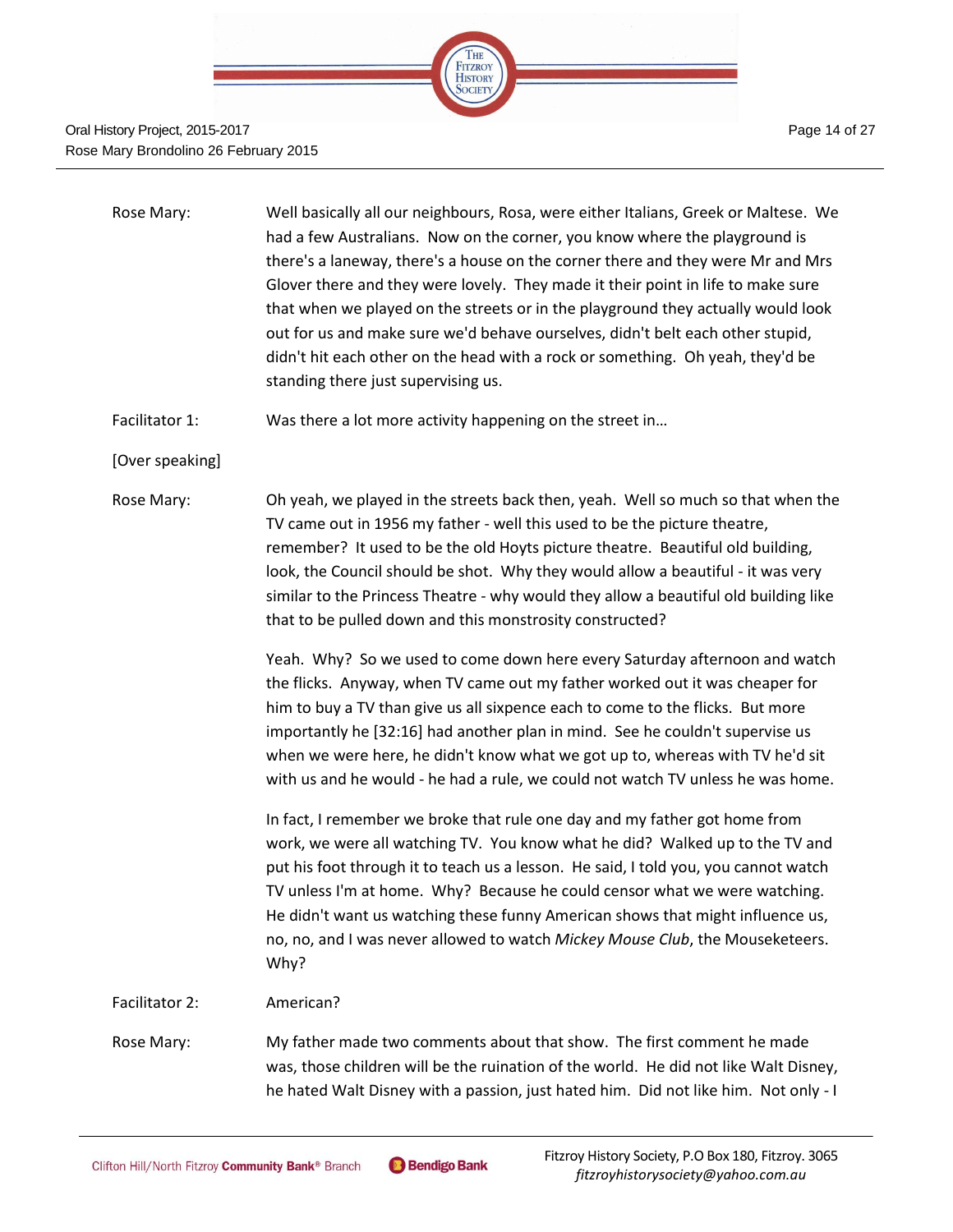

#### Oral History Project, 2015-2017 Rose Mary Brondolino 26 February 2015

| Rose Mary: | Well basically all our neighbours, Rosa, were either Italians, Greek or Maltese. We |
|------------|-------------------------------------------------------------------------------------|
|            | had a few Australians. Now on the corner, you know where the playground is          |
|            | there's a laneway, there's a house on the corner there and they were Mr and Mrs     |
|            | Glover there and they were lovely. They made it their point in life to make sure    |
|            | that when we played on the streets or in the playground they actually would look    |
|            | out for us and make sure we'd behave ourselves, didn't belt each other stupid,      |
|            | didn't hit each other on the head with a rock or something. Oh yeah, they'd be      |
|            | standing there just supervising us.                                                 |
|            |                                                                                     |

Facilitator 1: Was there a lot more activity happening on the street in...

[Over speaking]

Rose Mary: Oh yeah, we played in the streets back then, yeah. Well so much so that when the TV came out in 1956 my father - well this used to be the picture theatre, remember? It used to be the old Hoyts picture theatre. Beautiful old building, look, the Council should be shot. Why they would allow a beautiful - it was very similar to the Princess Theatre - why would they allow a beautiful old building like that to be pulled down and this monstrosity constructed?

> Yeah. Why? So we used to come down here every Saturday afternoon and watch the flicks. Anyway, when TV came out my father worked out it was cheaper for him to buy a TV than give us all sixpence each to come to the flicks. But more importantly he [32:16] had another plan in mind. See he couldn't supervise us when we were here, he didn't know what we got up to, whereas with TV he'd sit with us and he would - he had a rule, we could not watch TV unless he was home.

> In fact, I remember we broke that rule one day and my father got home from work, we were all watching TV. You know what he did? Walked up to the TV and put his foot through it to teach us a lesson. He said, I told you, you cannot watch TV unless I'm at home. Why? Because he could censor what we were watching. He didn't want us watching these funny American shows that might influence us, no, no, and I was never allowed to watch *Mickey Mouse Club*, the Mouseketeers. Why?

Facilitator 2: American?

Rose Mary: My father made two comments about that show. The first comment he made was, those children will be the ruination of the world. He did not like Walt Disney, he hated Walt Disney with a passion, just hated him. Did not like him. Not only - I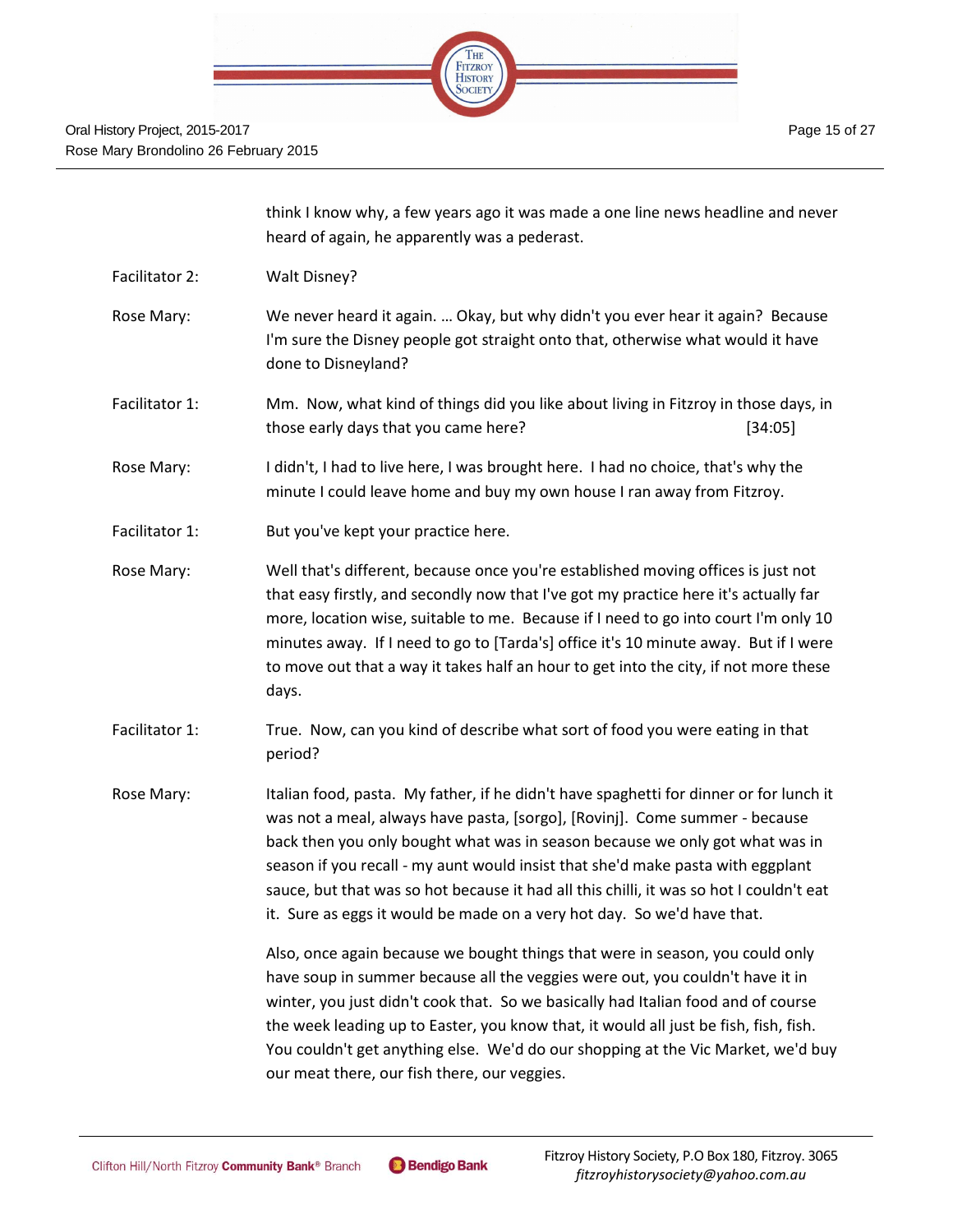

| think I know why, a few years ago it was made a one line news headline and never |
|----------------------------------------------------------------------------------|
| heard of again, he apparently was a pederast.                                    |

- Facilitator 2: Walt Disney?
- Rose Mary: We never heard it again. … Okay, but why didn't you ever hear it again? Because I'm sure the Disney people got straight onto that, otherwise what would it have done to Disneyland?
- Facilitator 1: Mm. Now, what kind of things did you like about living in Fitzroy in those days, in those early days that you came here? [34:05]
- Rose Mary: I didn't, I had to live here, I was brought here. I had no choice, that's why the minute I could leave home and buy my own house I ran away from Fitzroy.
- Facilitator 1: But you've kept your practice here.
- Rose Mary: Well that's different, because once you're established moving offices is just not that easy firstly, and secondly now that I've got my practice here it's actually far more, location wise, suitable to me. Because if I need to go into court I'm only 10 minutes away. If I need to go to [Tarda's] office it's 10 minute away. But if I were to move out that a way it takes half an hour to get into the city, if not more these days.
- Facilitator 1: True. Now, can you kind of describe what sort of food you were eating in that period?
- Rose Mary: Italian food, pasta. My father, if he didn't have spaghetti for dinner or for lunch it was not a meal, always have pasta, [sorgo], [Rovinj]. Come summer - because back then you only bought what was in season because we only got what was in season if you recall - my aunt would insist that she'd make pasta with eggplant sauce, but that was so hot because it had all this chilli, it was so hot I couldn't eat it. Sure as eggs it would be made on a very hot day. So we'd have that.

Also, once again because we bought things that were in season, you could only have soup in summer because all the veggies were out, you couldn't have it in winter, you just didn't cook that. So we basically had Italian food and of course the week leading up to Easter, you know that, it would all just be fish, fish, fish. You couldn't get anything else. We'd do our shopping at the Vic Market, we'd buy our meat there, our fish there, our veggies.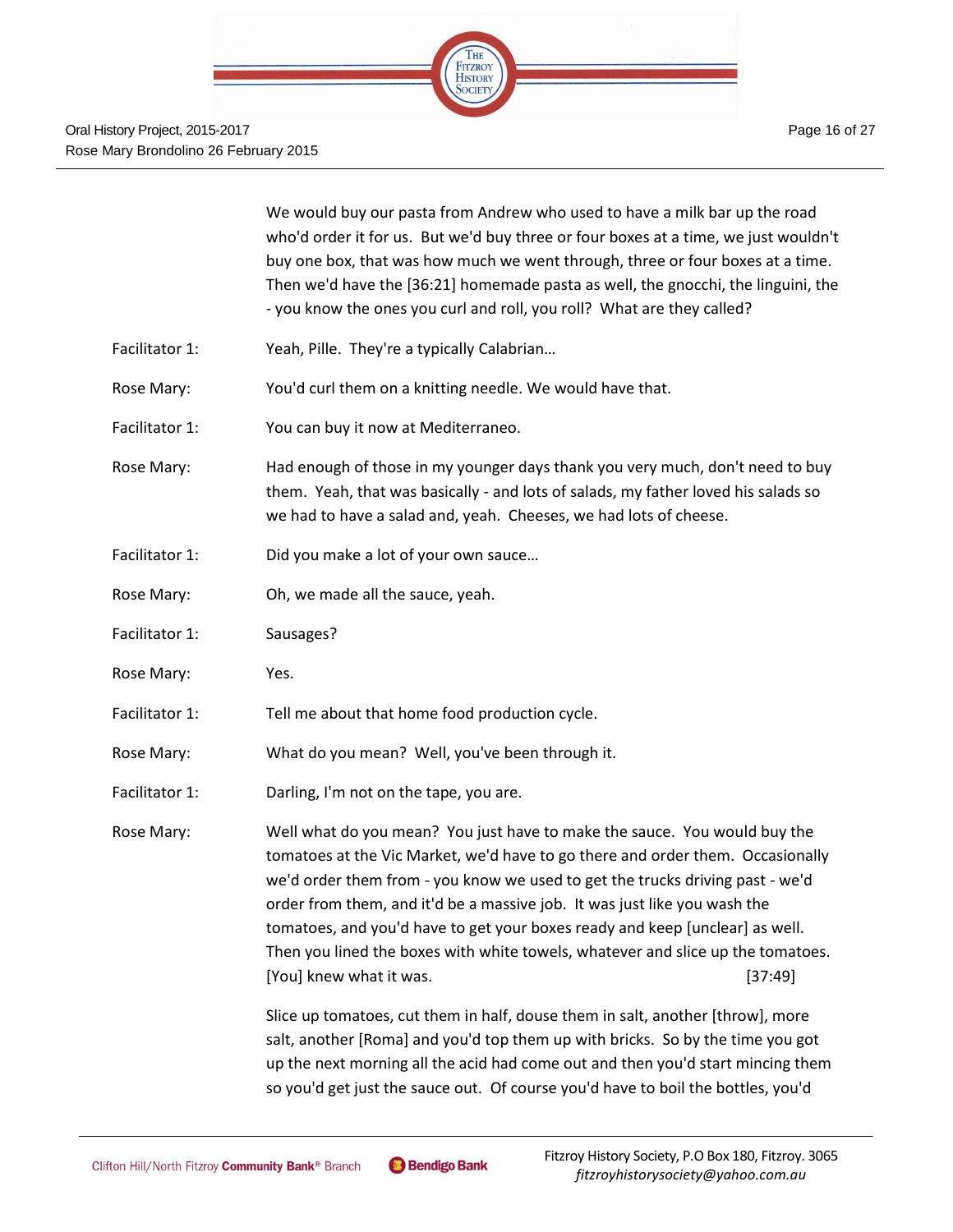We would buy our pasta from Andrew who used to have a milk bar up the road who'd order it for us. But we'd buy three or four boxes at a time, we just wouldn't buy one box, that was how much we went through, three or four boxes at a time. Then we'd have the [36:21] homemade pasta as well, the gnocchi, the linguini, the - you know the ones you curl and roll, you roll? What are they called?

- Facilitator 1: Yeah, Pille. They're a typically Calabrian...
- Rose Mary: You'd curl them on a knitting needle. We would have that.
- Facilitator 1: You can buy it now at Mediterraneo.
- Rose Mary: Had enough of those in my younger days thank you very much, don't need to buy them. Yeah, that was basically - and lots of salads, my father loved his salads so we had to have a salad and, yeah. Cheeses, we had lots of cheese.
- Facilitator 1: Did you make a lot of your own sauce...
- Rose Mary: Oh, we made all the sauce, yeah.
- Facilitator 1: Sausages?
- Rose Mary: Yes.
- Facilitator 1: Tell me about that home food production cycle.
- Rose Mary: What do you mean? Well, you've been through it.
- Facilitator 1: Darling, I'm not on the tape, you are.

Rose Mary: Well what do you mean? You just have to make the sauce. You would buy the tomatoes at the Vic Market, we'd have to go there and order them. Occasionally we'd order them from - you know we used to get the trucks driving past - we'd order from them, and it'd be a massive job. It was just like you wash the tomatoes, and you'd have to get your boxes ready and keep [unclear] as well. Then you lined the boxes with white towels, whatever and slice up the tomatoes. [You] knew what it was. [37:49]

> Slice up tomatoes, cut them in half, douse them in salt, another [throw], more salt, another [Roma] and you'd top them up with bricks. So by the time you got up the next morning all the acid had come out and then you'd start mincing them so you'd get just the sauce out. Of course you'd have to boil the bottles, you'd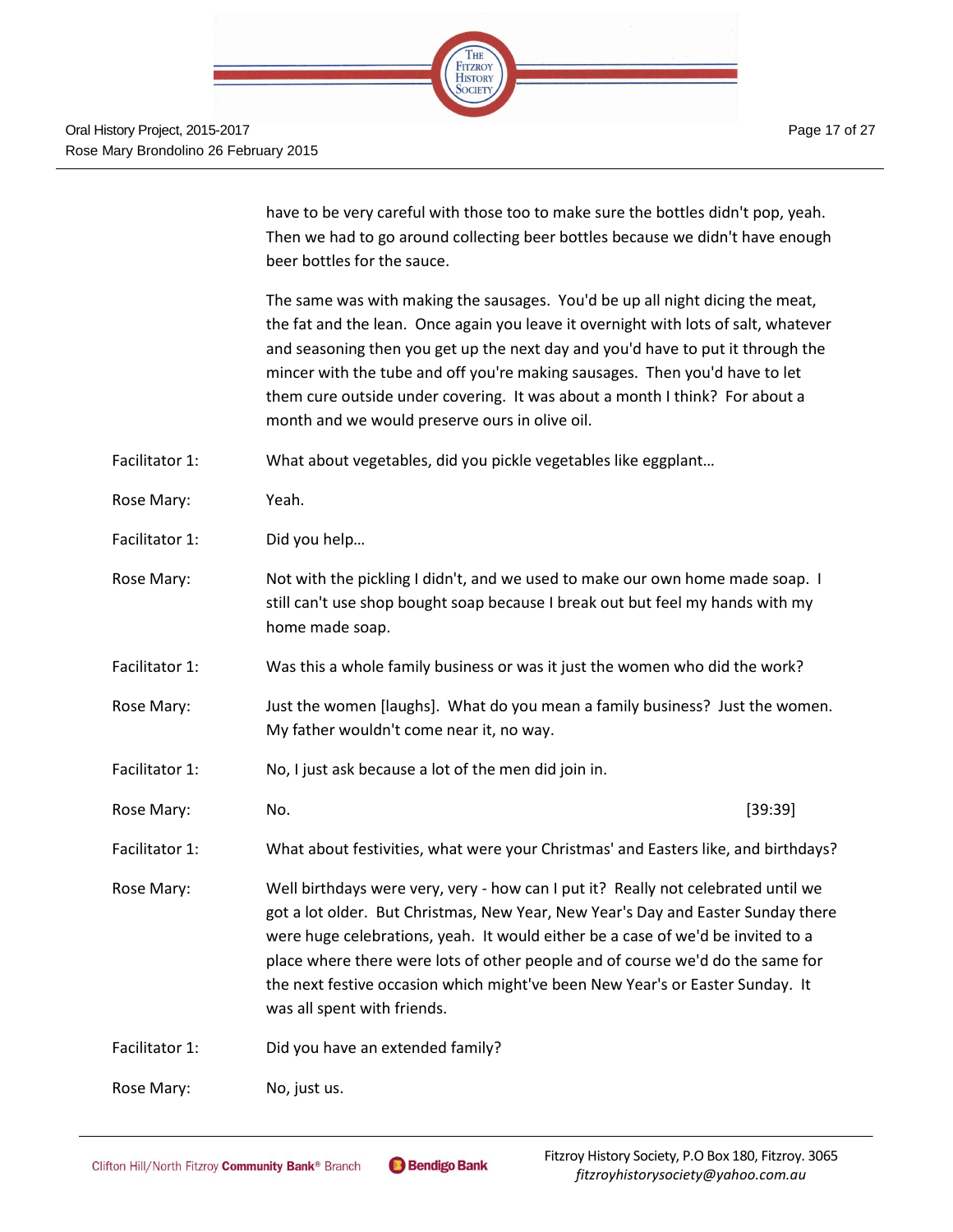

have to be very careful with those too to make sure the bottles didn't pop, yeah. Then we had to go around collecting beer bottles because we didn't have enough beer bottles for the sauce.

The same was with making the sausages. You'd be up all night dicing the meat, the fat and the lean. Once again you leave it overnight with lots of salt, whatever and seasoning then you get up the next day and you'd have to put it through the mincer with the tube and off you're making sausages. Then you'd have to let them cure outside under covering. It was about a month I think? For about a month and we would preserve ours in olive oil.

Facilitator 1: What about vegetables, did you pickle vegetables like eggplant…

- Rose Mary: Yeah.
- Facilitator 1: Did you help...
- Rose Mary: Not with the pickling I didn't, and we used to make our own home made soap. I still can't use shop bought soap because I break out but feel my hands with my home made soap.
- Facilitator 1: Was this a whole family business or was it just the women who did the work?
- Rose Mary: Just the women [laughs]. What do you mean a family business? Just the women. My father wouldn't come near it, no way.
- Facilitator 1: No, I just ask because a lot of the men did join in.
- Rose Mary: No. No. 2012 12:39 No. 2012 12:39 No. 2013 13:39 No. 2014

Facilitator 1: What about festivities, what were your Christmas' and Easters like, and birthdays?

Rose Mary: Well birthdays were very, very - how can I put it? Really not celebrated until we got a lot older. But Christmas, New Year, New Year's Day and Easter Sunday there were huge celebrations, yeah. It would either be a case of we'd be invited to a place where there were lots of other people and of course we'd do the same for the next festive occasion which might've been New Year's or Easter Sunday. It was all spent with friends.

Facilitator 1: Did you have an extended family?

Rose Mary: No, just us.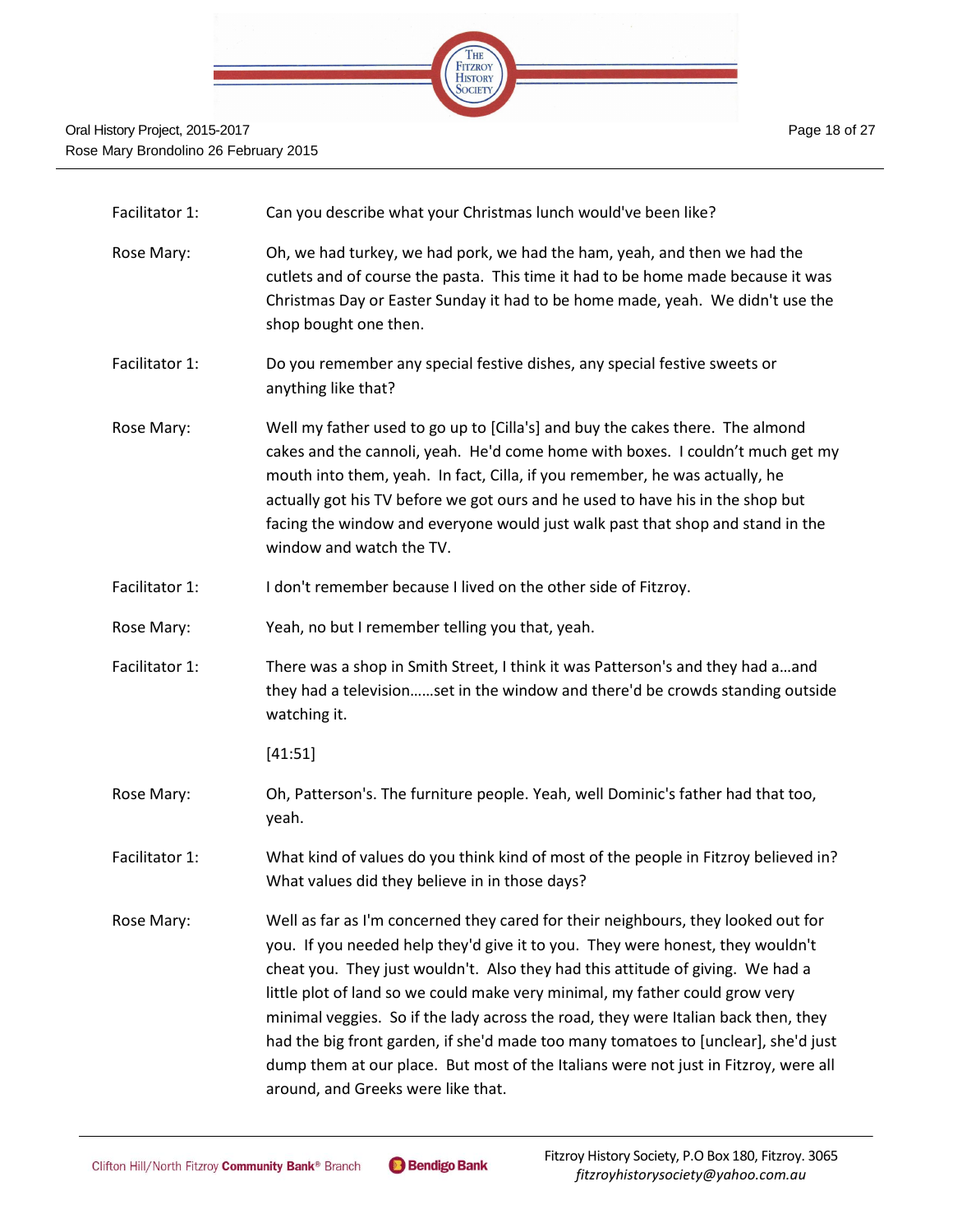

- Facilitator 1: Can you describe what your Christmas lunch would've been like?
- Rose Mary: Oh, we had turkey, we had pork, we had the ham, yeah, and then we had the cutlets and of course the pasta. This time it had to be home made because it was Christmas Day or Easter Sunday it had to be home made, yeah. We didn't use the shop bought one then.
- Facilitator 1: Do you remember any special festive dishes, any special festive sweets or anything like that?
- Rose Mary: Well my father used to go up to [Cilla's] and buy the cakes there. The almond cakes and the cannoli, yeah. He'd come home with boxes. I couldn't much get my mouth into them, yeah. In fact, Cilla, if you remember, he was actually, he actually got his TV before we got ours and he used to have his in the shop but facing the window and everyone would just walk past that shop and stand in the window and watch the TV.
- Facilitator 1: I don't remember because I lived on the other side of Fitzroy.
- Rose Mary: Yeah, no but I remember telling you that, yeah.
- Facilitator 1: There was a shop in Smith Street, I think it was Patterson's and they had a…and they had a television……set in the window and there'd be crowds standing outside watching it.

[41:51]

- Rose Mary: Oh, Patterson's. The furniture people. Yeah, well Dominic's father had that too, yeah.
- Facilitator 1: What kind of values do you think kind of most of the people in Fitzroy believed in? What values did they believe in in those days?
- Rose Mary: Well as far as I'm concerned they cared for their neighbours, they looked out for you. If you needed help they'd give it to you. They were honest, they wouldn't cheat you. They just wouldn't. Also they had this attitude of giving. We had a little plot of land so we could make very minimal, my father could grow very minimal veggies. So if the lady across the road, they were Italian back then, they had the big front garden, if she'd made too many tomatoes to [unclear], she'd just dump them at our place. But most of the Italians were not just in Fitzroy, were all around, and Greeks were like that.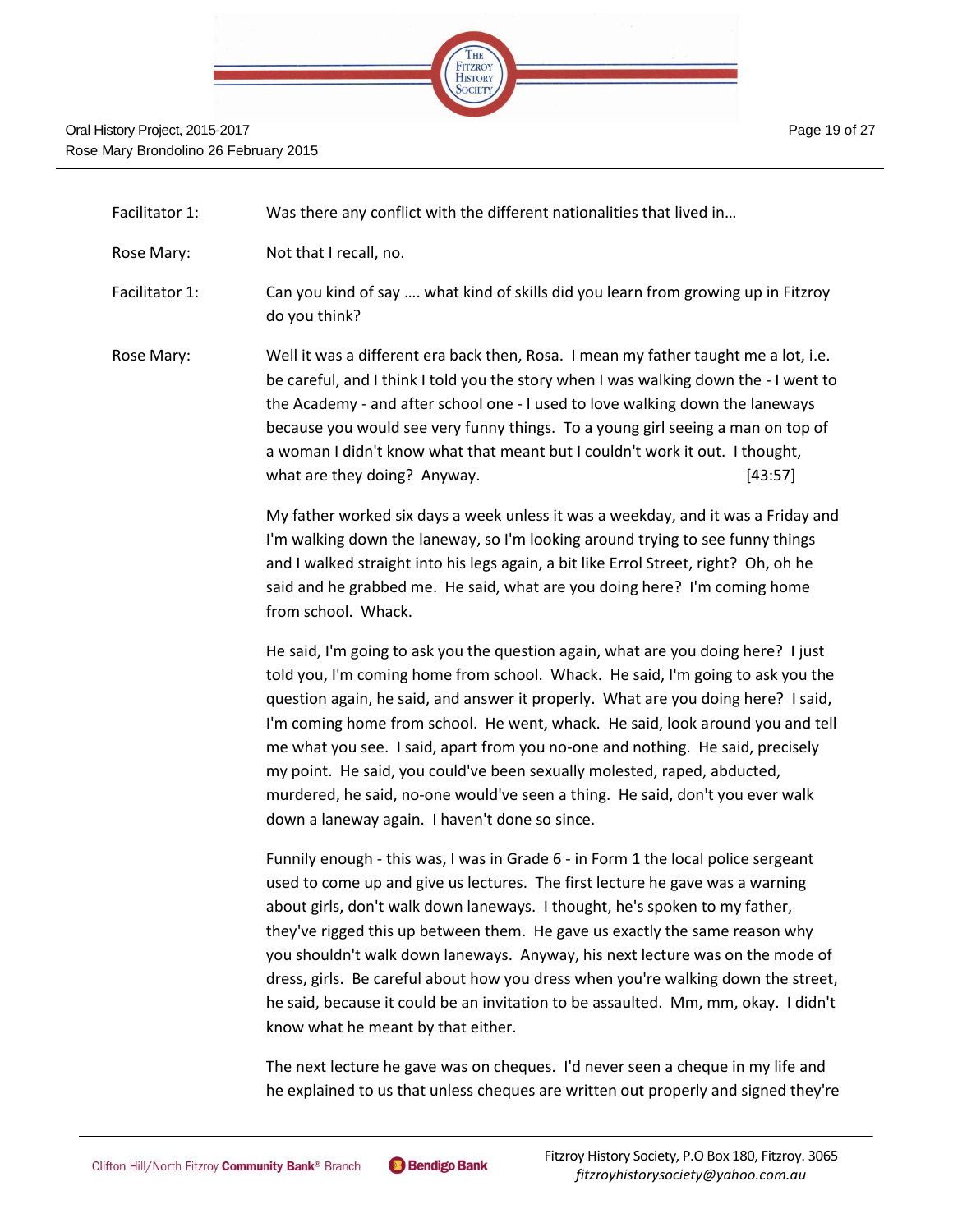

Facilitator 1: Was there any conflict with the different nationalities that lived in…

Rose Mary: Not that I recall, no.

Facilitator 1: Can you kind of say …. what kind of skills did you learn from growing up in Fitzroy do you think?

Rose Mary: Well it was a different era back then, Rosa. I mean my father taught me a lot, i.e. be careful, and I think I told you the story when I was walking down the - I went to the Academy - and after school one - I used to love walking down the laneways because you would see very funny things. To a young girl seeing a man on top of a woman I didn't know what that meant but I couldn't work it out. I thought, what are they doing? Anyway. [43:57]

> My father worked six days a week unless it was a weekday, and it was a Friday and I'm walking down the laneway, so I'm looking around trying to see funny things and I walked straight into his legs again, a bit like Errol Street, right? Oh, oh he said and he grabbed me. He said, what are you doing here? I'm coming home from school. Whack.

> He said, I'm going to ask you the question again, what are you doing here? I just told you, I'm coming home from school. Whack. He said, I'm going to ask you the question again, he said, and answer it properly. What are you doing here? I said, I'm coming home from school. He went, whack. He said, look around you and tell me what you see. I said, apart from you no-one and nothing. He said, precisely my point. He said, you could've been sexually molested, raped, abducted, murdered, he said, no-one would've seen a thing. He said, don't you ever walk down a laneway again. I haven't done so since.

> Funnily enough - this was, I was in Grade 6 - in Form 1 the local police sergeant used to come up and give us lectures. The first lecture he gave was a warning about girls, don't walk down laneways. I thought, he's spoken to my father, they've rigged this up between them. He gave us exactly the same reason why you shouldn't walk down laneways. Anyway, his next lecture was on the mode of dress, girls. Be careful about how you dress when you're walking down the street, he said, because it could be an invitation to be assaulted. Mm, mm, okay. I didn't know what he meant by that either.

> The next lecture he gave was on cheques. I'd never seen a cheque in my life and he explained to us that unless cheques are written out properly and signed they're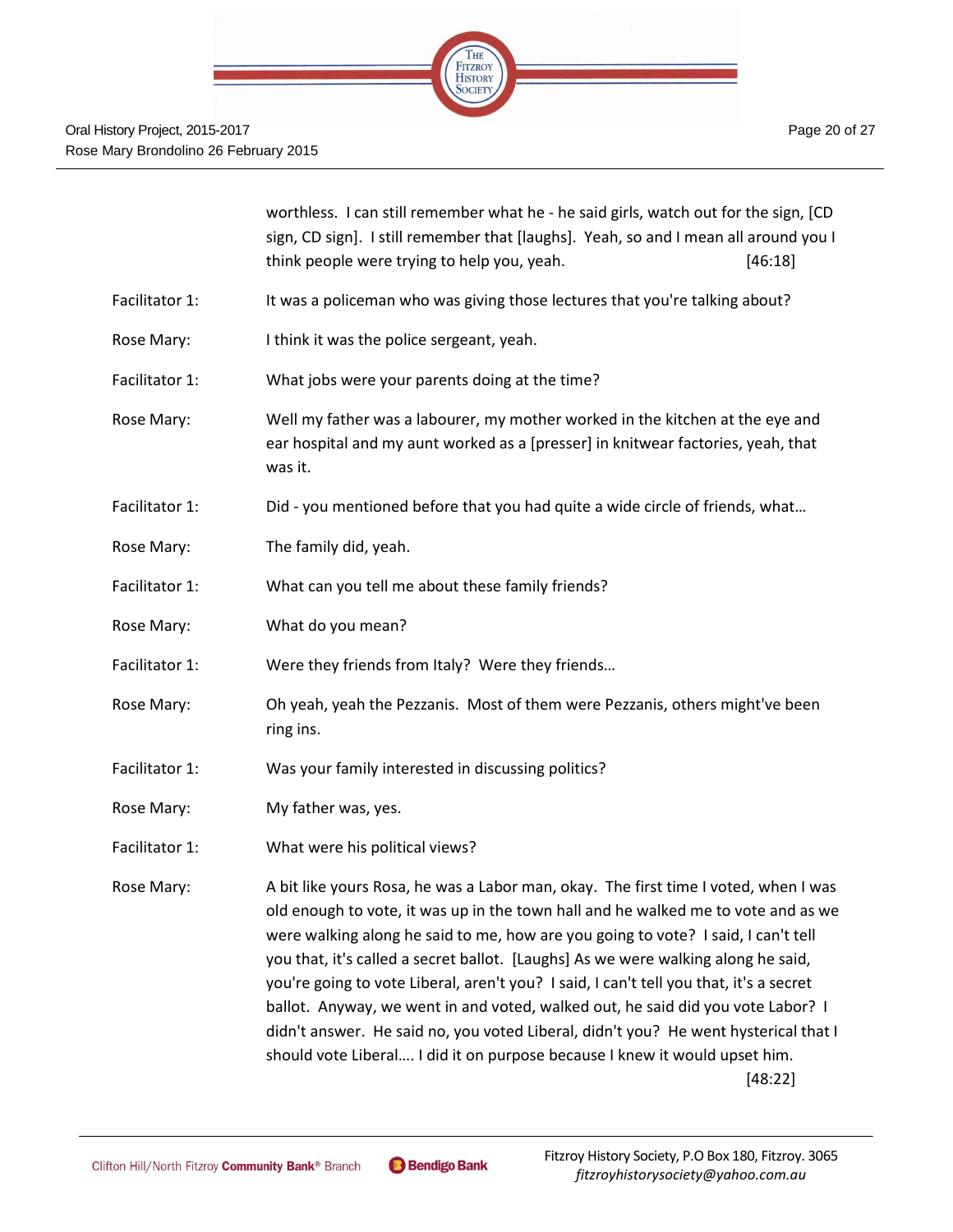

|                | worthless. I can still remember what he - he said girls, watch out for the sign, [CD<br>sign, CD sign]. I still remember that [laughs]. Yeah, so and I mean all around you I<br>think people were trying to help you, yeah.<br>[46:18]                                                                                                                                                                                                                                                                                                                                                                                                                                                                          |
|----------------|-----------------------------------------------------------------------------------------------------------------------------------------------------------------------------------------------------------------------------------------------------------------------------------------------------------------------------------------------------------------------------------------------------------------------------------------------------------------------------------------------------------------------------------------------------------------------------------------------------------------------------------------------------------------------------------------------------------------|
| Facilitator 1: | It was a policeman who was giving those lectures that you're talking about?                                                                                                                                                                                                                                                                                                                                                                                                                                                                                                                                                                                                                                     |
| Rose Mary:     | I think it was the police sergeant, yeah.                                                                                                                                                                                                                                                                                                                                                                                                                                                                                                                                                                                                                                                                       |
| Facilitator 1: | What jobs were your parents doing at the time?                                                                                                                                                                                                                                                                                                                                                                                                                                                                                                                                                                                                                                                                  |
| Rose Mary:     | Well my father was a labourer, my mother worked in the kitchen at the eye and<br>ear hospital and my aunt worked as a [presser] in knitwear factories, yeah, that<br>was it.                                                                                                                                                                                                                                                                                                                                                                                                                                                                                                                                    |
| Facilitator 1: | Did - you mentioned before that you had quite a wide circle of friends, what                                                                                                                                                                                                                                                                                                                                                                                                                                                                                                                                                                                                                                    |
| Rose Mary:     | The family did, yeah.                                                                                                                                                                                                                                                                                                                                                                                                                                                                                                                                                                                                                                                                                           |
| Facilitator 1: | What can you tell me about these family friends?                                                                                                                                                                                                                                                                                                                                                                                                                                                                                                                                                                                                                                                                |
| Rose Mary:     | What do you mean?                                                                                                                                                                                                                                                                                                                                                                                                                                                                                                                                                                                                                                                                                               |
| Facilitator 1: | Were they friends from Italy? Were they friends                                                                                                                                                                                                                                                                                                                                                                                                                                                                                                                                                                                                                                                                 |
| Rose Mary:     | Oh yeah, yeah the Pezzanis. Most of them were Pezzanis, others might've been<br>ring ins.                                                                                                                                                                                                                                                                                                                                                                                                                                                                                                                                                                                                                       |
| Facilitator 1: | Was your family interested in discussing politics?                                                                                                                                                                                                                                                                                                                                                                                                                                                                                                                                                                                                                                                              |
| Rose Mary:     | My father was, yes.                                                                                                                                                                                                                                                                                                                                                                                                                                                                                                                                                                                                                                                                                             |
| Facilitator 1: | What were his political views?                                                                                                                                                                                                                                                                                                                                                                                                                                                                                                                                                                                                                                                                                  |
| Rose Mary:     | A bit like yours Rosa, he was a Labor man, okay. The first time I voted, when I was<br>old enough to vote, it was up in the town hall and he walked me to vote and as we<br>were walking along he said to me, how are you going to vote? I said, I can't tell<br>you that, it's called a secret ballot. [Laughs] As we were walking along he said,<br>you're going to vote Liberal, aren't you? I said, I can't tell you that, it's a secret<br>ballot. Anyway, we went in and voted, walked out, he said did you vote Labor? I<br>didn't answer. He said no, you voted Liberal, didn't you? He went hysterical that I<br>should vote Liberal I did it on purpose because I knew it would upset him.<br>[48:22] |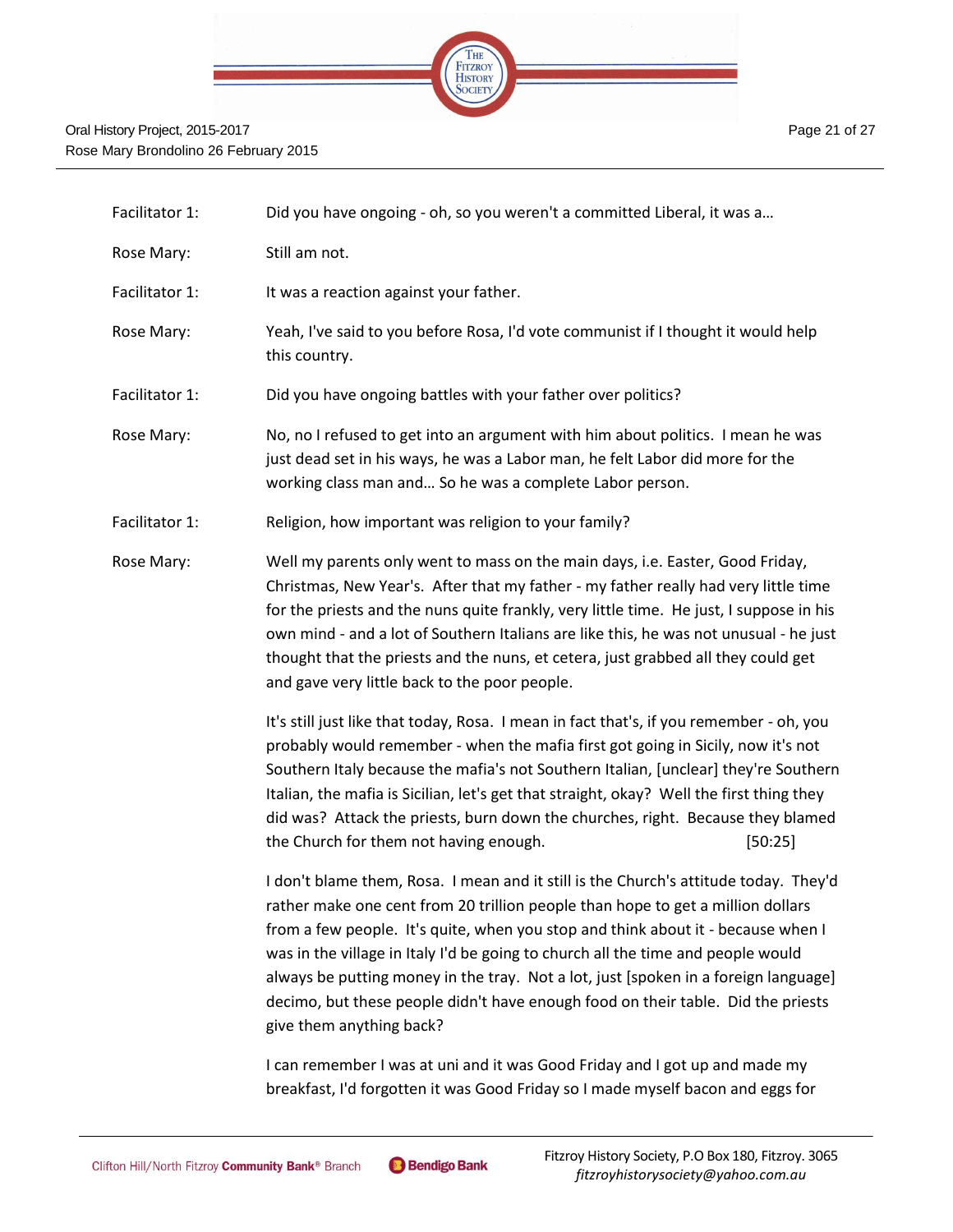

| Facilitator 1: | Did you have ongoing - oh, so you weren't a committed Liberal, it was a                                                                                                                                                                                                                                                                                                                                                                                                                                                                                |
|----------------|--------------------------------------------------------------------------------------------------------------------------------------------------------------------------------------------------------------------------------------------------------------------------------------------------------------------------------------------------------------------------------------------------------------------------------------------------------------------------------------------------------------------------------------------------------|
| Rose Mary:     | Still am not.                                                                                                                                                                                                                                                                                                                                                                                                                                                                                                                                          |
| Facilitator 1: | It was a reaction against your father.                                                                                                                                                                                                                                                                                                                                                                                                                                                                                                                 |
| Rose Mary:     | Yeah, I've said to you before Rosa, I'd vote communist if I thought it would help<br>this country.                                                                                                                                                                                                                                                                                                                                                                                                                                                     |
| Facilitator 1: | Did you have ongoing battles with your father over politics?                                                                                                                                                                                                                                                                                                                                                                                                                                                                                           |
| Rose Mary:     | No, no I refused to get into an argument with him about politics. I mean he was<br>just dead set in his ways, he was a Labor man, he felt Labor did more for the<br>working class man and So he was a complete Labor person.                                                                                                                                                                                                                                                                                                                           |
| Facilitator 1: | Religion, how important was religion to your family?                                                                                                                                                                                                                                                                                                                                                                                                                                                                                                   |
| Rose Mary:     | Well my parents only went to mass on the main days, i.e. Easter, Good Friday,<br>Christmas, New Year's. After that my father - my father really had very little time<br>for the priests and the nuns quite frankly, very little time. He just, I suppose in his<br>own mind - and a lot of Southern Italians are like this, he was not unusual - he just<br>thought that the priests and the nuns, et cetera, just grabbed all they could get<br>and gave very little back to the poor people.                                                         |
|                | It's still just like that today, Rosa. I mean in fact that's, if you remember - oh, you<br>probably would remember - when the mafia first got going in Sicily, now it's not<br>Southern Italy because the mafia's not Southern Italian, [unclear] they're Southern<br>Italian, the mafia is Sicilian, let's get that straight, okay? Well the first thing they<br>did was? Attack the priests, burn down the churches, right. Because they blamed<br>the Church for them not having enough.<br>[50:25]                                                 |
|                | I don't blame them, Rosa. I mean and it still is the Church's attitude today. They'd<br>rather make one cent from 20 trillion people than hope to get a million dollars<br>from a few people. It's quite, when you stop and think about it - because when I<br>was in the village in Italy I'd be going to church all the time and people would<br>always be putting money in the tray. Not a lot, just [spoken in a foreign language]<br>decimo, but these people didn't have enough food on their table. Did the priests<br>give them anything back? |
|                | I can remember I was at uni and it was Good Friday and I got up and made my<br>breakfast, I'd forgotten it was Good Friday so I made myself bacon and eggs for                                                                                                                                                                                                                                                                                                                                                                                         |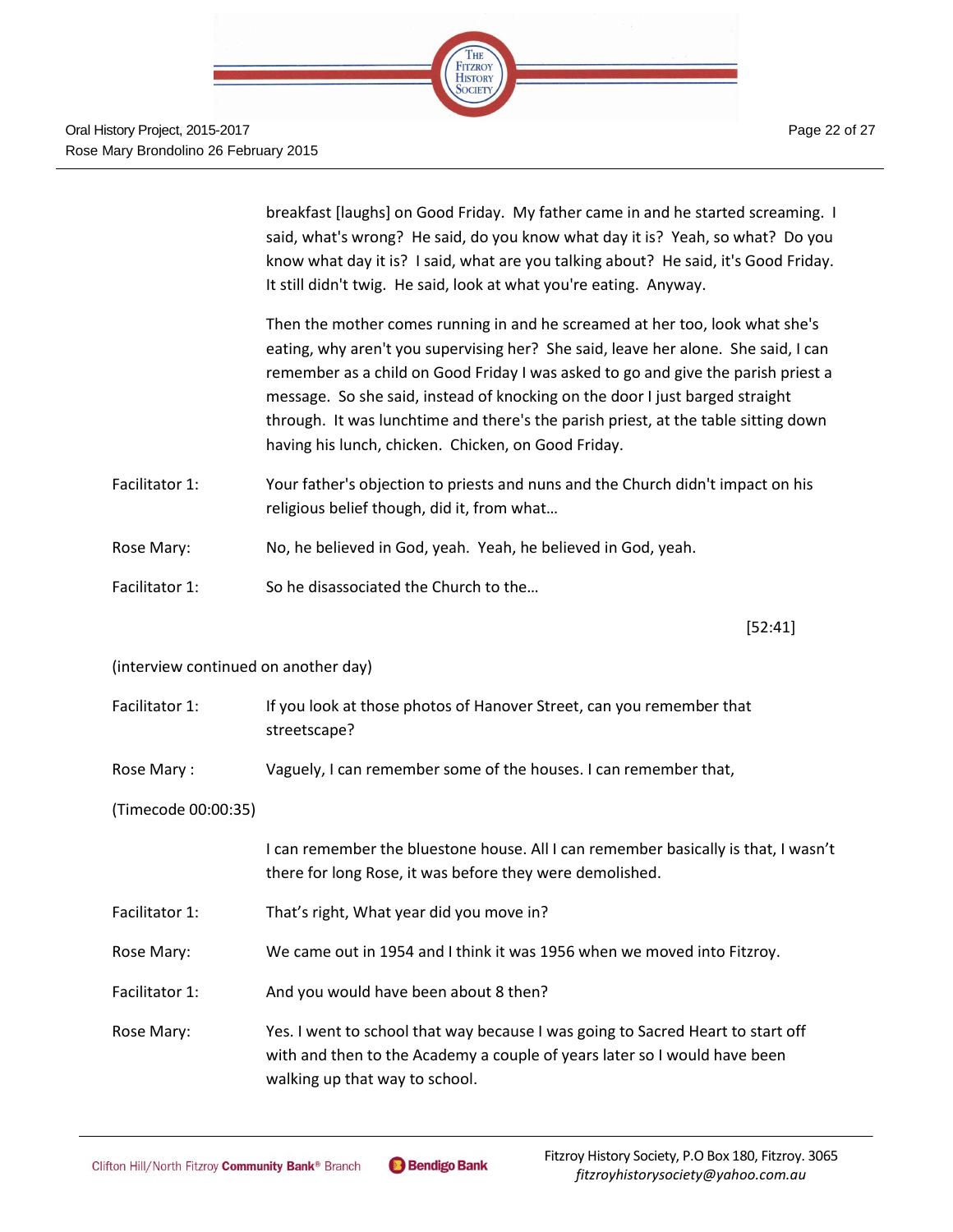

breakfast [laughs] on Good Friday. My father came in and he started screaming. I said, what's wrong? He said, do you know what day it is? Yeah, so what? Do you know what day it is? I said, what are you talking about? He said, it's Good Friday. It still didn't twig. He said, look at what you're eating. Anyway.

Then the mother comes running in and he screamed at her too, look what she's eating, why aren't you supervising her? She said, leave her alone. She said, I can remember as a child on Good Friday I was asked to go and give the parish priest a message. So she said, instead of knocking on the door I just barged straight through. It was lunchtime and there's the parish priest, at the table sitting down having his lunch, chicken. Chicken, on Good Friday.

- Facilitator 1: Your father's objection to priests and nuns and the Church didn't impact on his religious belief though, did it, from what…
- Rose Mary: No, he believed in God, yeah. Yeah, he believed in God, yeah.
- Facilitator 1: So he disassociated the Church to the…

[52:41]

#### (interview continued on another day)

- Facilitator 1: If you look at those photos of Hanover Street, can you remember that streetscape?
- Rose Mary : Vaguely, I can remember some of the houses. I can remember that,

#### (Timecode 00:00:35)

I can remember the bluestone house. All I can remember basically is that, I wasn't there for long Rose, it was before they were demolished.

- Facilitator 1: That's right, What year did you move in?
- Rose Mary: We came out in 1954 and I think it was 1956 when we moved into Fitzroy.
- Facilitator 1: And you would have been about 8 then?
- Rose Mary: Yes. I went to school that way because I was going to Sacred Heart to start off with and then to the Academy a couple of years later so I would have been walking up that way to school.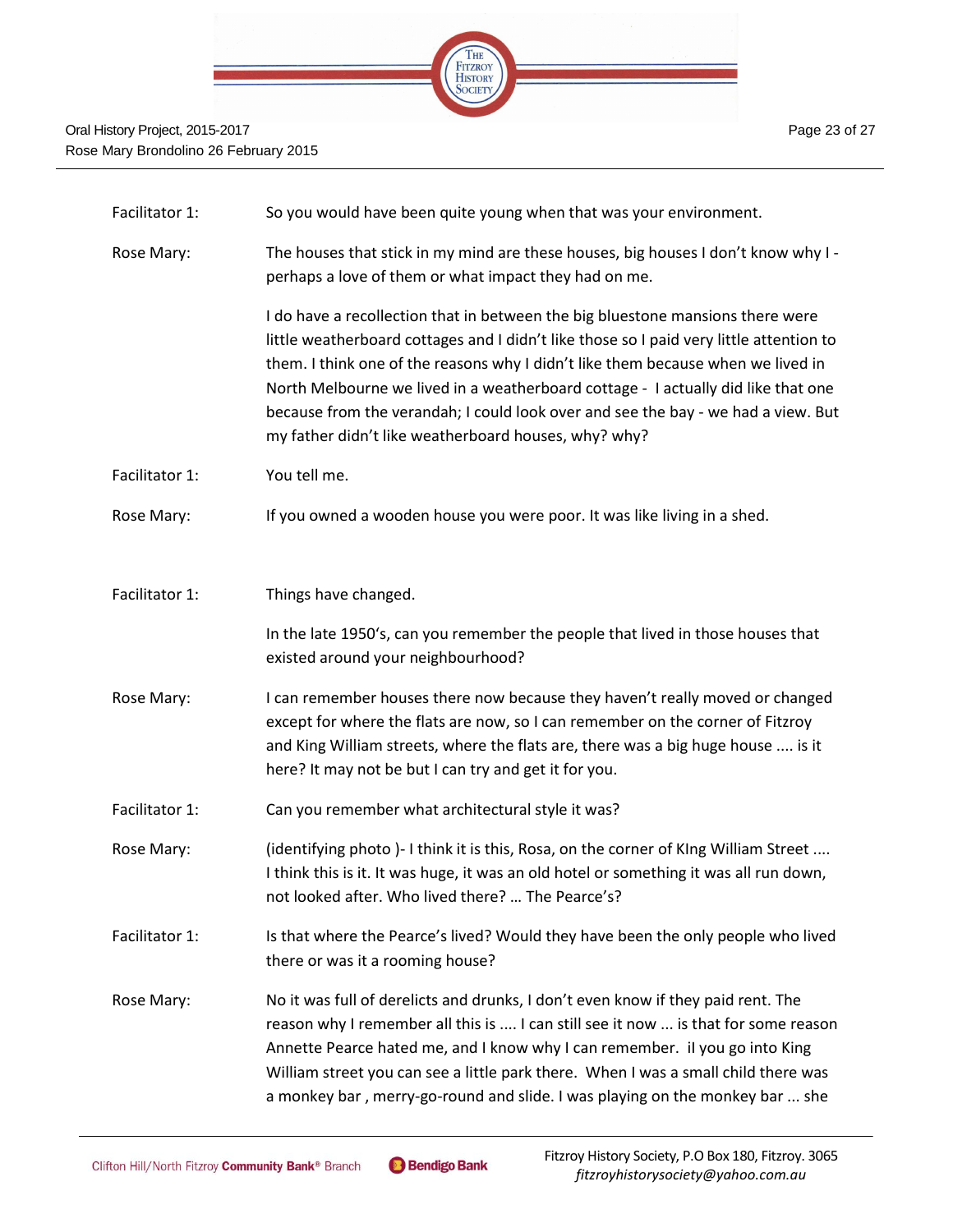

| Facilitator 1: | So you would have been quite young when that was your environment.                                                                                                                                                                                                                                                                                                                                                                                                                              |
|----------------|-------------------------------------------------------------------------------------------------------------------------------------------------------------------------------------------------------------------------------------------------------------------------------------------------------------------------------------------------------------------------------------------------------------------------------------------------------------------------------------------------|
| Rose Mary:     | The houses that stick in my mind are these houses, big houses I don't know why I -<br>perhaps a love of them or what impact they had on me.                                                                                                                                                                                                                                                                                                                                                     |
|                | I do have a recollection that in between the big bluestone mansions there were<br>little weatherboard cottages and I didn't like those so I paid very little attention to<br>them. I think one of the reasons why I didn't like them because when we lived in<br>North Melbourne we lived in a weatherboard cottage - I actually did like that one<br>because from the verandah; I could look over and see the bay - we had a view. But<br>my father didn't like weatherboard houses, why? why? |
| Facilitator 1: | You tell me.                                                                                                                                                                                                                                                                                                                                                                                                                                                                                    |
| Rose Mary:     | If you owned a wooden house you were poor. It was like living in a shed.                                                                                                                                                                                                                                                                                                                                                                                                                        |
| Facilitator 1: | Things have changed.                                                                                                                                                                                                                                                                                                                                                                                                                                                                            |
|                | In the late 1950's, can you remember the people that lived in those houses that<br>existed around your neighbourhood?                                                                                                                                                                                                                                                                                                                                                                           |
| Rose Mary:     | I can remember houses there now because they haven't really moved or changed<br>except for where the flats are now, so I can remember on the corner of Fitzroy<br>and King William streets, where the flats are, there was a big huge house  is it<br>here? It may not be but I can try and get it for you.                                                                                                                                                                                     |
| Facilitator 1: | Can you remember what architectural style it was?                                                                                                                                                                                                                                                                                                                                                                                                                                               |
| Rose Mary:     | (identifying photo)-I think it is this, Rosa, on the corner of KIng William Street<br>I think this is it. It was huge, it was an old hotel or something it was all run down,<br>not looked after. Who lived there?  The Pearce's?                                                                                                                                                                                                                                                               |
| Facilitator 1: | Is that where the Pearce's lived? Would they have been the only people who lived<br>there or was it a rooming house?                                                                                                                                                                                                                                                                                                                                                                            |
| Rose Mary:     | No it was full of derelicts and drunks, I don't even know if they paid rent. The<br>reason why I remember all this is  I can still see it now  is that for some reason<br>Annette Pearce hated me, and I know why I can remember. il you go into King<br>William street you can see a little park there. When I was a small child there was<br>a monkey bar, merry-go-round and slide. I was playing on the monkey bar  she                                                                     |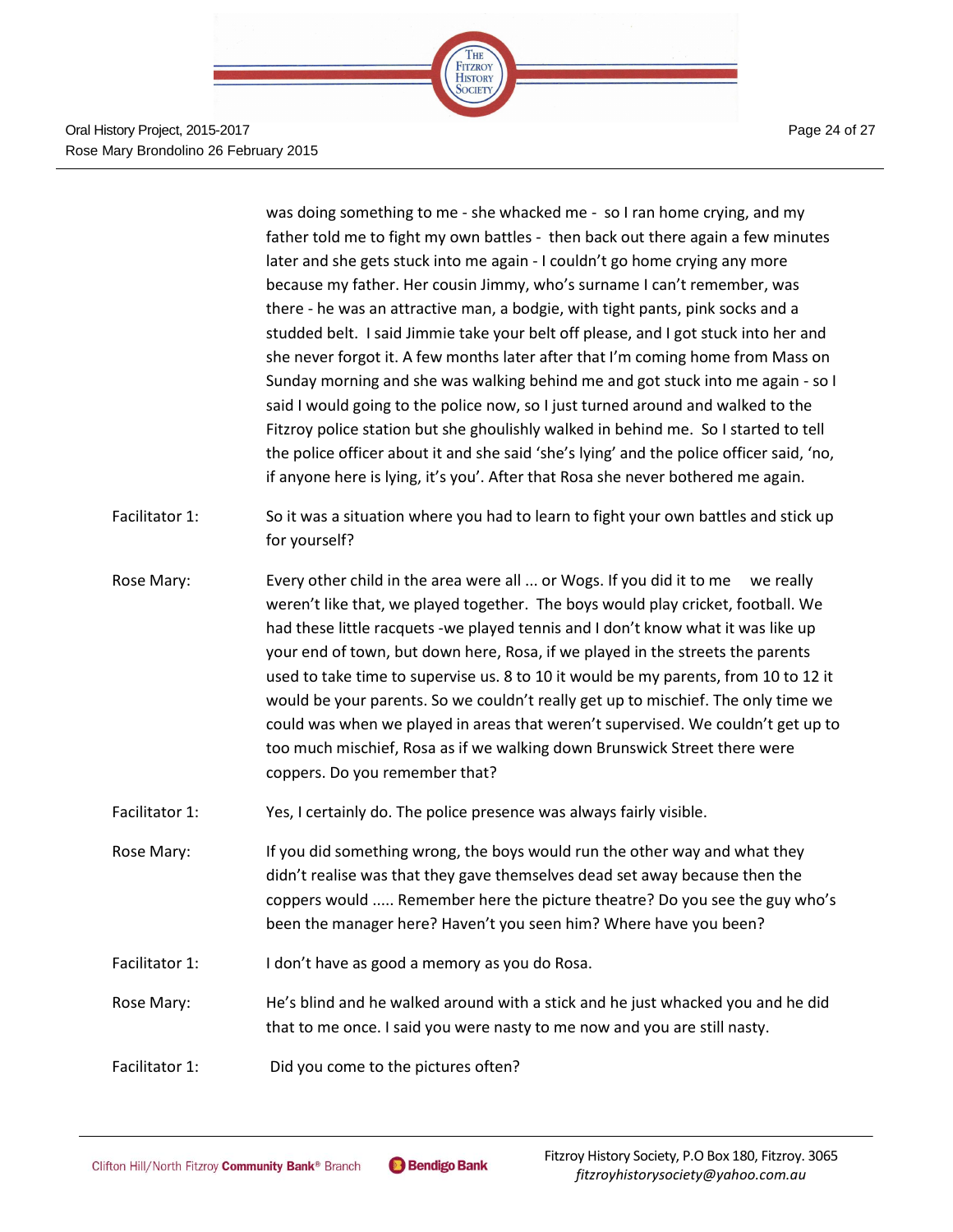

Oral History Project, 2015-2017 Rose Mary Brondolino 26 February 2015 Page 24 of 27

was doing something to me - she whacked me - so I ran home crying, and my father told me to fight my own battles - then back out there again a few minutes later and she gets stuck into me again - I couldn't go home crying any more because my father. Her cousin Jimmy, who's surname I can't remember, was there - he was an attractive man, a bodgie, with tight pants, pink socks and a studded belt. I said Jimmie take your belt off please, and I got stuck into her and she never forgot it. A few months later after that I'm coming home from Mass on Sunday morning and she was walking behind me and got stuck into me again - so I said I would going to the police now, so I just turned around and walked to the Fitzroy police station but she ghoulishly walked in behind me. So I started to tell the police officer about it and she said 'she's lying' and the police officer said, 'no, if anyone here is lying, it's you'. After that Rosa she never bothered me again.

- Facilitator 1: So it was a situation where you had to learn to fight your own battles and stick up for yourself?
- Rose Mary: Every other child in the area were all ... or Wogs. If you did it to me we really weren't like that, we played together. The boys would play cricket, football. We had these little racquets -we played tennis and I don't know what it was like up your end of town, but down here, Rosa, if we played in the streets the parents used to take time to supervise us. 8 to 10 it would be my parents, from 10 to 12 it would be your parents. So we couldn't really get up to mischief. The only time we could was when we played in areas that weren't supervised. We couldn't get up to too much mischief, Rosa as if we walking down Brunswick Street there were coppers. Do you remember that?
- Facilitator 1: Yes, I certainly do. The police presence was always fairly visible.
- Rose Mary: If you did something wrong, the boys would run the other way and what they didn't realise was that they gave themselves dead set away because then the coppers would ..... Remember here the picture theatre? Do you see the guy who's been the manager here? Haven't you seen him? Where have you been?
- Facilitator 1: I don't have as good a memory as you do Rosa.
- Rose Mary: He's blind and he walked around with a stick and he just whacked you and he did that to me once. I said you were nasty to me now and you are still nasty.
- Facilitator 1: Did you come to the pictures often?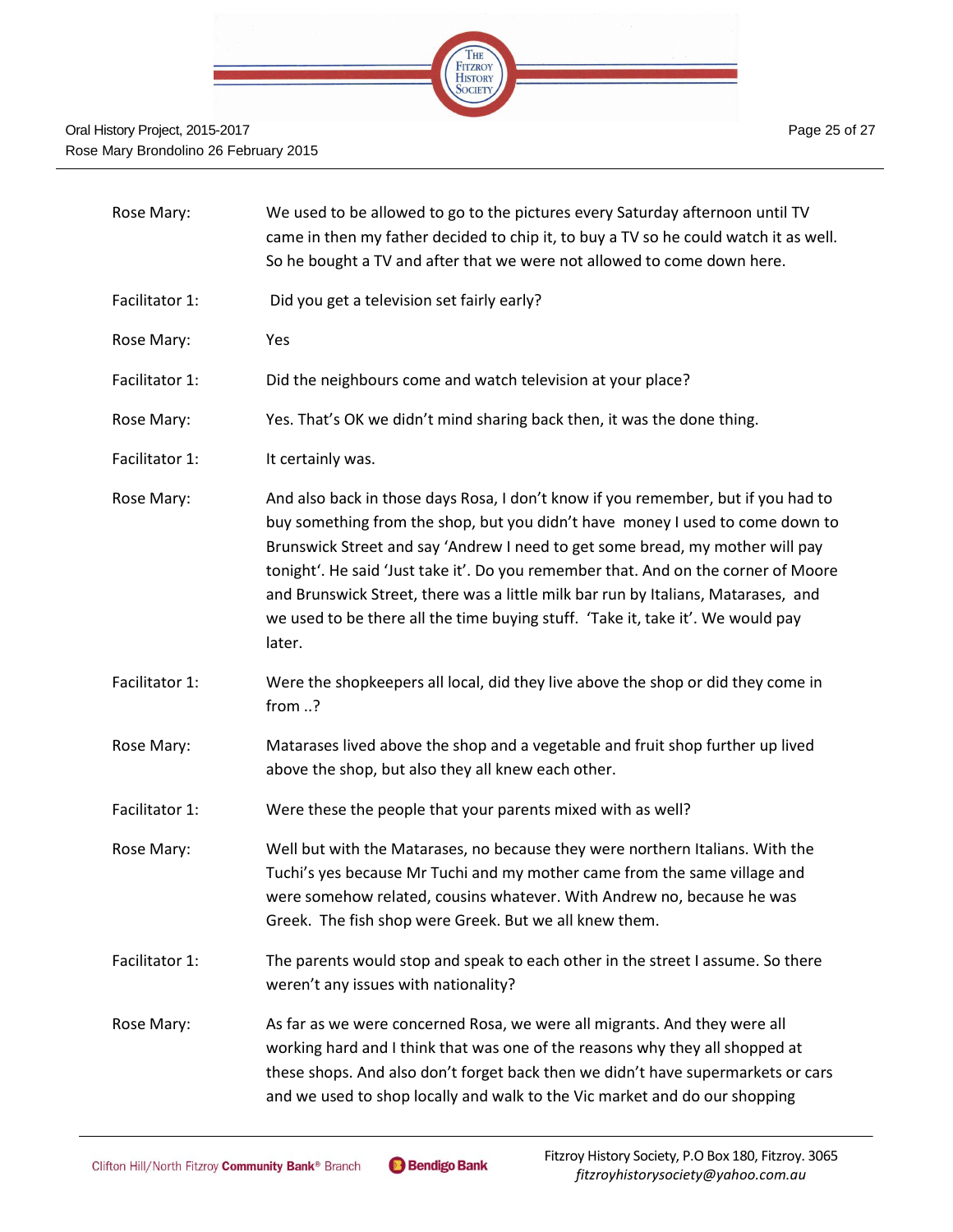

| Rose Mary:     | We used to be allowed to go to the pictures every Saturday afternoon until TV<br>came in then my father decided to chip it, to buy a TV so he could watch it as well.<br>So he bought a TV and after that we were not allowed to come down here.                                                                                                                                                                                                                                                                            |
|----------------|-----------------------------------------------------------------------------------------------------------------------------------------------------------------------------------------------------------------------------------------------------------------------------------------------------------------------------------------------------------------------------------------------------------------------------------------------------------------------------------------------------------------------------|
| Facilitator 1: | Did you get a television set fairly early?                                                                                                                                                                                                                                                                                                                                                                                                                                                                                  |
| Rose Mary:     | Yes                                                                                                                                                                                                                                                                                                                                                                                                                                                                                                                         |
| Facilitator 1: | Did the neighbours come and watch television at your place?                                                                                                                                                                                                                                                                                                                                                                                                                                                                 |
| Rose Mary:     | Yes. That's OK we didn't mind sharing back then, it was the done thing.                                                                                                                                                                                                                                                                                                                                                                                                                                                     |
| Facilitator 1: | It certainly was.                                                                                                                                                                                                                                                                                                                                                                                                                                                                                                           |
| Rose Mary:     | And also back in those days Rosa, I don't know if you remember, but if you had to<br>buy something from the shop, but you didn't have money I used to come down to<br>Brunswick Street and say 'Andrew I need to get some bread, my mother will pay<br>tonight'. He said 'Just take it'. Do you remember that. And on the corner of Moore<br>and Brunswick Street, there was a little milk bar run by Italians, Matarases, and<br>we used to be there all the time buying stuff. 'Take it, take it'. We would pay<br>later. |
| Facilitator 1: | Were the shopkeepers all local, did they live above the shop or did they come in<br>from ?                                                                                                                                                                                                                                                                                                                                                                                                                                  |
| Rose Mary:     | Matarases lived above the shop and a vegetable and fruit shop further up lived<br>above the shop, but also they all knew each other.                                                                                                                                                                                                                                                                                                                                                                                        |
| Facilitator 1: | Were these the people that your parents mixed with as well?                                                                                                                                                                                                                                                                                                                                                                                                                                                                 |
| Rose Mary:     | Well but with the Matarases, no because they were northern Italians. With the<br>Tuchi's yes because Mr Tuchi and my mother came from the same village and<br>were somehow related, cousins whatever. With Andrew no, because he was<br>Greek. The fish shop were Greek. But we all knew them.                                                                                                                                                                                                                              |
| Facilitator 1: | The parents would stop and speak to each other in the street I assume. So there<br>weren't any issues with nationality?                                                                                                                                                                                                                                                                                                                                                                                                     |
| Rose Mary:     | As far as we were concerned Rosa, we were all migrants. And they were all<br>working hard and I think that was one of the reasons why they all shopped at<br>these shops. And also don't forget back then we didn't have supermarkets or cars<br>and we used to shop locally and walk to the Vic market and do our shopping                                                                                                                                                                                                 |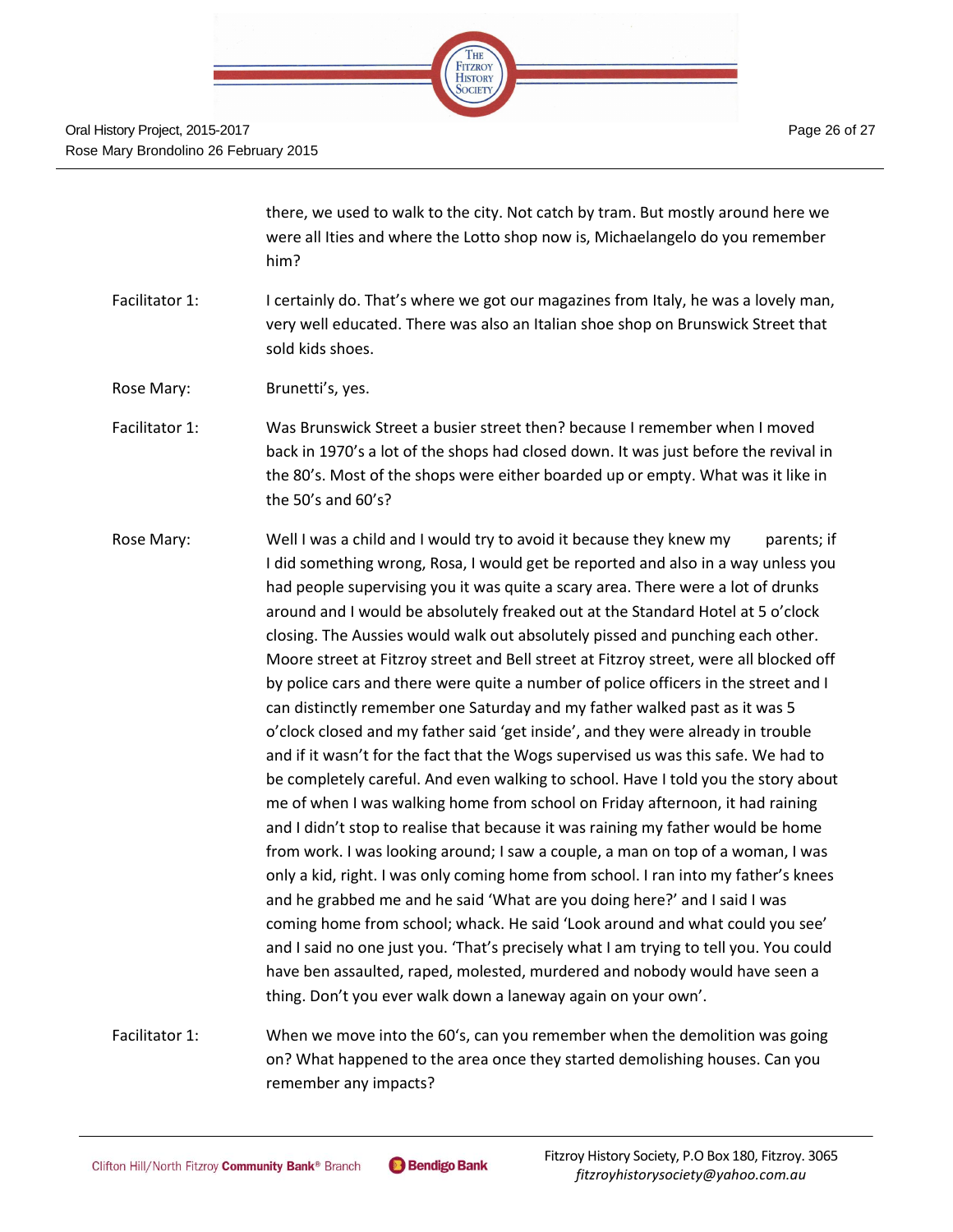

there, we used to walk to the city. Not catch by tram. But mostly around here we were all Ities and where the Lotto shop now is, Michaelangelo do you remember him?

- Facilitator 1: I certainly do. That's where we got our magazines from Italy, he was a lovely man, very well educated. There was also an Italian shoe shop on Brunswick Street that sold kids shoes.
- Rose Mary: Brunetti's, yes.
- Facilitator 1: Was Brunswick Street a busier street then? because I remember when I moved back in 1970's a lot of the shops had closed down. It was just before the revival in the 80's. Most of the shops were either boarded up or empty. What was it like in the 50's and 60's?
- Rose Mary: Well I was a child and I would try to avoid it because they knew my parents; if I did something wrong, Rosa, I would get be reported and also in a way unless you had people supervising you it was quite a scary area. There were a lot of drunks around and I would be absolutely freaked out at the Standard Hotel at 5 o'clock closing. The Aussies would walk out absolutely pissed and punching each other. Moore street at Fitzroy street and Bell street at Fitzroy street, were all blocked off by police cars and there were quite a number of police officers in the street and I can distinctly remember one Saturday and my father walked past as it was 5 o'clock closed and my father said 'get inside', and they were already in trouble and if it wasn't for the fact that the Wogs supervised us was this safe. We had to be completely careful. And even walking to school. Have I told you the story about me of when I was walking home from school on Friday afternoon, it had raining and I didn't stop to realise that because it was raining my father would be home from work. I was looking around; I saw a couple, a man on top of a woman, I was only a kid, right. I was only coming home from school. I ran into my father's knees and he grabbed me and he said 'What are you doing here?' and I said I was coming home from school; whack. He said 'Look around and what could you see' and I said no one just you. 'That's precisely what I am trying to tell you. You could have ben assaulted, raped, molested, murdered and nobody would have seen a thing. Don't you ever walk down a laneway again on your own'.
- Facilitator 1: When we move into the 60's, can you remember when the demolition was going on? What happened to the area once they started demolishing houses. Can you remember any impacts?